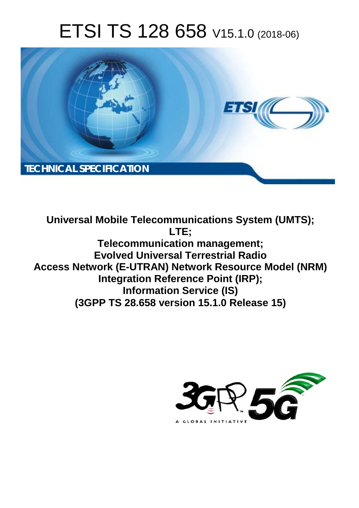# ETSI TS 128 658 V15.1.0 (2018-06)



**Universal Mobile Telecommunications System (UMTS); LTE; Telecommunication management; Evolved Universal Terrestrial Radio Access Network (E-UTRAN) Network Resource Model (NRM) Integration Reference Point (IRP); Information Service (IS) (3GPP TS 28.658 version 15.1.0 Release 15)** 

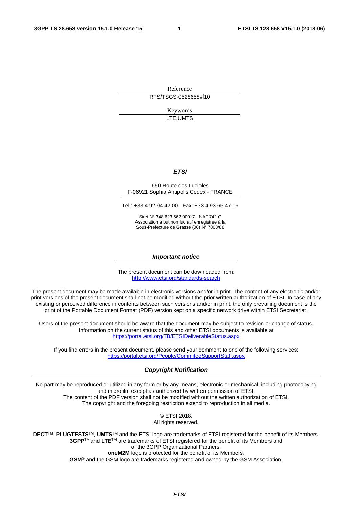Reference RTS/TSGS-0528658vf10

> Keywords LTE,UMTS

#### *ETSI*

#### 650 Route des Lucioles F-06921 Sophia Antipolis Cedex - FRANCE

Tel.: +33 4 92 94 42 00 Fax: +33 4 93 65 47 16

Siret N° 348 623 562 00017 - NAF 742 C Association à but non lucratif enregistrée à la Sous-Préfecture de Grasse (06) N° 7803/88

#### *Important notice*

The present document can be downloaded from: <http://www.etsi.org/standards-search>

The present document may be made available in electronic versions and/or in print. The content of any electronic and/or print versions of the present document shall not be modified without the prior written authorization of ETSI. In case of any existing or perceived difference in contents between such versions and/or in print, the only prevailing document is the print of the Portable Document Format (PDF) version kept on a specific network drive within ETSI Secretariat.

Users of the present document should be aware that the document may be subject to revision or change of status. Information on the current status of this and other ETSI documents is available at <https://portal.etsi.org/TB/ETSIDeliverableStatus.aspx>

If you find errors in the present document, please send your comment to one of the following services: <https://portal.etsi.org/People/CommiteeSupportStaff.aspx>

#### *Copyright Notification*

No part may be reproduced or utilized in any form or by any means, electronic or mechanical, including photocopying and microfilm except as authorized by written permission of ETSI. The content of the PDF version shall not be modified without the written authorization of ETSI. The copyright and the foregoing restriction extend to reproduction in all media.

> © ETSI 2018. All rights reserved.

**DECT**TM, **PLUGTESTS**TM, **UMTS**TM and the ETSI logo are trademarks of ETSI registered for the benefit of its Members. **3GPP**TM and **LTE**TM are trademarks of ETSI registered for the benefit of its Members and of the 3GPP Organizational Partners. **oneM2M** logo is protected for the benefit of its Members.

**GSM**® and the GSM logo are trademarks registered and owned by the GSM Association.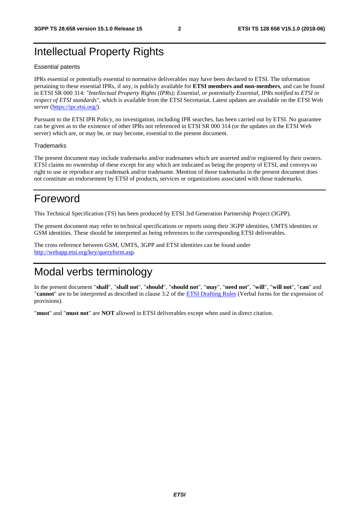# Intellectual Property Rights

#### Essential patents

IPRs essential or potentially essential to normative deliverables may have been declared to ETSI. The information pertaining to these essential IPRs, if any, is publicly available for **ETSI members and non-members**, and can be found in ETSI SR 000 314: *"Intellectual Property Rights (IPRs); Essential, or potentially Essential, IPRs notified to ETSI in respect of ETSI standards"*, which is available from the ETSI Secretariat. Latest updates are available on the ETSI Web server ([https://ipr.etsi.org/\)](https://ipr.etsi.org/).

Pursuant to the ETSI IPR Policy, no investigation, including IPR searches, has been carried out by ETSI. No guarantee can be given as to the existence of other IPRs not referenced in ETSI SR 000 314 (or the updates on the ETSI Web server) which are, or may be, or may become, essential to the present document.

#### **Trademarks**

The present document may include trademarks and/or tradenames which are asserted and/or registered by their owners. ETSI claims no ownership of these except for any which are indicated as being the property of ETSI, and conveys no right to use or reproduce any trademark and/or tradename. Mention of those trademarks in the present document does not constitute an endorsement by ETSI of products, services or organizations associated with those trademarks.

# Foreword

This Technical Specification (TS) has been produced by ETSI 3rd Generation Partnership Project (3GPP).

The present document may refer to technical specifications or reports using their 3GPP identities, UMTS identities or GSM identities. These should be interpreted as being references to the corresponding ETSI deliverables.

The cross reference between GSM, UMTS, 3GPP and ETSI identities can be found under [http://webapp.etsi.org/key/queryform.asp.](http://webapp.etsi.org/key/queryform.asp)

# Modal verbs terminology

In the present document "**shall**", "**shall not**", "**should**", "**should not**", "**may**", "**need not**", "**will**", "**will not**", "**can**" and "**cannot**" are to be interpreted as described in clause 3.2 of the [ETSI Drafting Rules](https://portal.etsi.org/Services/editHelp!/Howtostart/ETSIDraftingRules.aspx) (Verbal forms for the expression of provisions).

"**must**" and "**must not**" are **NOT** allowed in ETSI deliverables except when used in direct citation.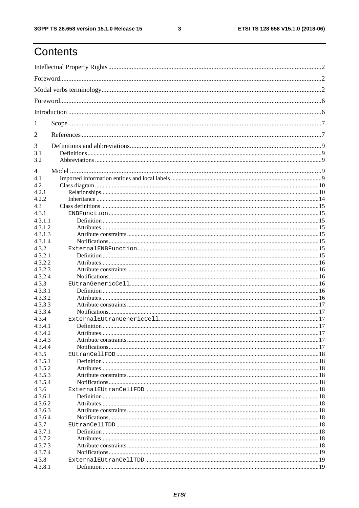$\mathbf{3}$ 

# Contents

| 1                  |  |  |  |  |
|--------------------|--|--|--|--|
| $\overline{2}$     |  |  |  |  |
| 3                  |  |  |  |  |
| 3.1                |  |  |  |  |
| 3.2                |  |  |  |  |
| $\overline{4}$     |  |  |  |  |
| 4.1                |  |  |  |  |
| 4.2<br>4.2.1       |  |  |  |  |
| 4.2.2              |  |  |  |  |
| 4.3                |  |  |  |  |
| 4.3.1              |  |  |  |  |
| 4.3.1.1            |  |  |  |  |
| 4.3.1.2            |  |  |  |  |
| 4.3.1.3            |  |  |  |  |
| 4.3.1.4            |  |  |  |  |
| 4.3.2              |  |  |  |  |
| 4.3.2.1            |  |  |  |  |
| 4.3.2.2<br>4.3.2.3 |  |  |  |  |
| 4.3.2.4            |  |  |  |  |
| 4.3.3              |  |  |  |  |
| 4.3.3.1            |  |  |  |  |
| 4.3.3.2            |  |  |  |  |
| 4.3.3.3            |  |  |  |  |
| 4.3.3.4            |  |  |  |  |
| 4.3.4              |  |  |  |  |
| 4.3.4.1            |  |  |  |  |
| 4.3.4.2<br>4.3.4.3 |  |  |  |  |
| 4.3.4.4            |  |  |  |  |
| 4.3.5              |  |  |  |  |
| 4.3.5.1            |  |  |  |  |
| 4.3.5.2            |  |  |  |  |
| 4.3.5.3            |  |  |  |  |
| 4.3.5.4            |  |  |  |  |
| 4.3.6              |  |  |  |  |
| 4.3.6.1            |  |  |  |  |
| 4.3.6.2<br>4.3.6.3 |  |  |  |  |
| 4.3.6.4            |  |  |  |  |
| 4.3.7              |  |  |  |  |
| 4.3.7.1            |  |  |  |  |
| 4.3.7.2            |  |  |  |  |
| 4.3.7.3            |  |  |  |  |
| 4.3.7.4            |  |  |  |  |
| 4.3.8              |  |  |  |  |
| 4.3.8.1            |  |  |  |  |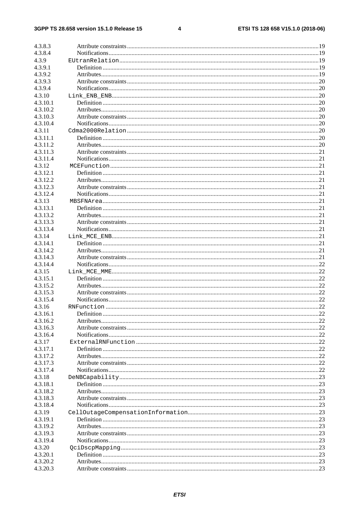#### $\overline{\mathbf{4}}$

| 4.3.8.3              |  |
|----------------------|--|
| 4.3.8.4              |  |
| 4.3.9                |  |
| 4.3.9.1              |  |
| 4.3.9.2              |  |
| 4.3.9.3              |  |
| 4.3.9.4              |  |
| 4.3.10               |  |
| 4.3.10.1             |  |
| 4.3.10.2             |  |
| 4.3.10.3             |  |
| 4.3.10.4             |  |
| 4.3.11               |  |
| 4.3.11.1             |  |
| 4.3.11.2             |  |
| 4.3.11.3             |  |
| 4.3.11.4             |  |
| 4.3.12               |  |
| 4.3.12.1             |  |
| 4.3.12.2             |  |
| 4.3.12.3             |  |
| 4.3.12.4             |  |
| 4.3.13               |  |
| 4.3.13.1             |  |
| 4.3.13.2             |  |
| 4.3.13.3             |  |
| 4.3.13.4             |  |
| 4.3.14               |  |
|                      |  |
| 4.3.14.1<br>4.3.14.2 |  |
| 4.3.14.3             |  |
| 4.3.14.4             |  |
|                      |  |
| 4.3.15               |  |
| 4.3.15.1             |  |
| 4.3.15.2             |  |
| 4.3.15.3             |  |
| 4.3.15.4             |  |
| 4.3.16               |  |
| 4.3.16.1             |  |
| 4.3.16.2             |  |
| 4.3.16.3             |  |
| 4.3.16.4             |  |
| 4.3.17               |  |
| 4.3.17.1             |  |
| 4.3.17.2             |  |
| 4.3.17.3             |  |
| 4.3.17.4             |  |
| 4.3.18               |  |
| 4.3.18.1             |  |
| 4.3.18.2             |  |
| 4.3.18.3             |  |
| 4.3.18.4             |  |
| 4.3.19               |  |
| 4.3.19.1             |  |
| 4.3.19.2             |  |
| 4.3.19.3             |  |
| 4.3.19.4             |  |
| 4.3.20               |  |
| 4.3.20.1             |  |
| 4.3.20.2             |  |
| 4.3.20.3             |  |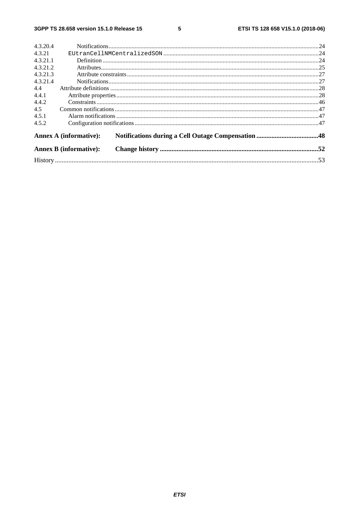#### $5\phantom{a}$

| 4.3.20.4                      |  |
|-------------------------------|--|
| 4.3.21                        |  |
| 4.3.21.1                      |  |
| 4.3.21.2                      |  |
| 4.3.21.3                      |  |
| 4.3.21.4                      |  |
| 4.4                           |  |
| 4.4.1                         |  |
| 4.4.2                         |  |
| 4.5                           |  |
| 4.5.1                         |  |
| 4.5.2                         |  |
| <b>Annex A (informative):</b> |  |
| <b>Annex B</b> (informative): |  |
|                               |  |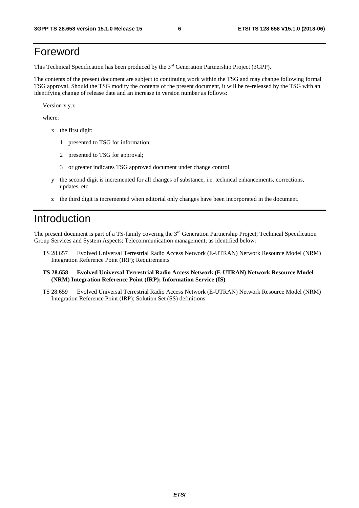# Foreword

This Technical Specification has been produced by the 3rd Generation Partnership Project (3GPP).

The contents of the present document are subject to continuing work within the TSG and may change following formal TSG approval. Should the TSG modify the contents of the present document, it will be re-released by the TSG with an identifying change of release date and an increase in version number as follows:

Version x.y.z

where:

- x the first digit:
	- 1 presented to TSG for information;
	- 2 presented to TSG for approval;
	- 3 or greater indicates TSG approved document under change control.
- y the second digit is incremented for all changes of substance, i.e. technical enhancements, corrections, updates, etc.
- z the third digit is incremented when editorial only changes have been incorporated in the document.

# Introduction

The present document is part of a TS-family covering the 3rd Generation Partnership Project; Technical Specification Group Services and System Aspects; Telecommunication management; as identified below:

- TS 28.657 Evolved Universal Terrestrial Radio Access Network (E-UTRAN) Network Resource Model (NRM) Integration Reference Point (IRP); Requirements
- **TS 28.658 Evolved Universal Terrestrial Radio Access Network (E-UTRAN) Network Resource Model (NRM) Integration Reference Point (IRP); Information Service (IS)**
- TS 28.659 Evolved Universal Terrestrial Radio Access Network (E-UTRAN) Network Resource Model (NRM) Integration Reference Point (IRP); Solution Set (SS) definitions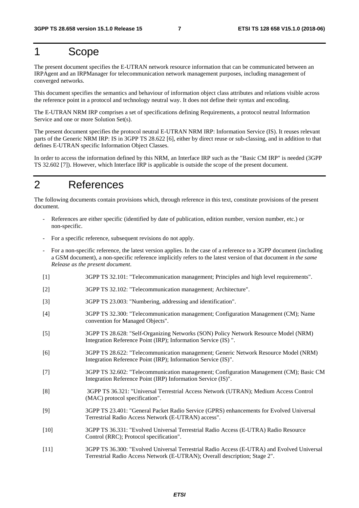# 1 Scope

The present document specifies the E-UTRAN network resource information that can be communicated between an IRPAgent and an IRPManager for telecommunication network management purposes, including management of converged networks.

This document specifies the semantics and behaviour of information object class attributes and relations visible across the reference point in a protocol and technology neutral way. It does not define their syntax and encoding.

The E-UTRAN NRM IRP comprises a set of specifications defining Requirements, a protocol neutral Information Service and one or more Solution Set(s).

The present document specifies the protocol neutral E-UTRAN NRM IRP: Information Service (IS). It reuses relevant parts of the Generic NRM IRP: IS in 3GPP TS 28.622 [6], either by direct reuse or sub-classing, and in addition to that defines E-UTRAN specific Information Object Classes.

In order to access the information defined by this NRM, an Interface IRP such as the "Basic CM IRP" is needed (3GPP TS 32.602 [7]). However, which Interface IRP is applicable is outside the scope of the present document.

# 2 References

The following documents contain provisions which, through reference in this text, constitute provisions of the present document.

- References are either specific (identified by date of publication, edition number, version number, etc.) or non-specific.
- For a specific reference, subsequent revisions do not apply.
- For a non-specific reference, the latest version applies. In the case of a reference to a 3GPP document (including a GSM document), a non-specific reference implicitly refers to the latest version of that document *in the same Release as the present document*.
- [1] 3GPP TS 32.101: "Telecommunication management; Principles and high level requirements".
- [2] 3GPP TS 32.102: "Telecommunication management; Architecture".
- [3] 3GPP TS 23.003: "Numbering, addressing and identification".
- [4] 3GPP TS 32.300: "Telecommunication management; Configuration Management (CM); Name convention for Managed Objects".
- [5] 3GPP TS 28.628: "Self-Organizing Networks (SON) Policy Network Resource Model (NRM) Integration Reference Point (IRP); Information Service (IS) ".
- [6] 3GPP TS 28.622: "Telecommunication management; Generic Network Resource Model (NRM) Integration Reference Point (IRP); Information Service (IS)".
- [7] 3GPP TS 32.602: "Telecommunication management; Configuration Management (CM); Basic CM Integration Reference Point (IRP) Information Service (IS)".
- [8] 3GPP TS 36.321: "Universal Terrestrial Access Network (UTRAN); Medium Access Control (MAC) protocol specification".
- [9] 3GPP TS 23.401: "General Packet Radio Service (GPRS) enhancements for Evolved Universal Terrestrial Radio Access Network (E-UTRAN) access".
- [10] 3GPP TS 36.331: "Evolved Universal Terrestrial Radio Access (E-UTRA) Radio Resource Control (RRC); Protocol specification".
- [11] 3GPP TS 36.300: "Evolved Universal Terrestrial Radio Access (E-UTRA) and Evolved Universal Terrestrial Radio Access Network (E-UTRAN); Overall description; Stage 2".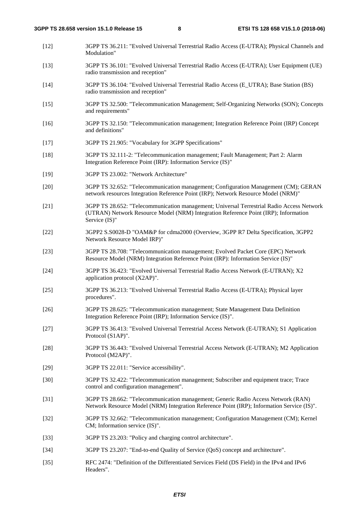- [12] 3GPP TS 36.211: "Evolved Universal Terrestrial Radio Access (E-UTRA); Physical Channels and Modulation"
- [13] 3GPP TS 36.101: "Evolved Universal Terrestrial Radio Access (E-UTRA); User Equipment (UE) radio transmission and reception"
- [14] 3GPP TS 36.104: "Evolved Universal Terrestrial Radio Access (E\_UTRA); Base Station (BS) radio transmission and reception"
- [15] 3GPP TS 32.500: "Telecommunication Management; Self-Organizing Networks (SON); Concepts and requirements"
- [16] 3GPP TS 32.150: "Telecommunication management; Integration Reference Point (IRP) Concept and definitions"
- [17] 3GPP TS 21.905: "Vocabulary for 3GPP Specifications"
- [18] 3GPP TS 32.111-2: "Telecommunication management; Fault Management; Part 2: Alarm Integration Reference Point (IRP): Information Service (IS)"
- [19] 3GPP TS 23.002: "Network Architecture"
- [20] 3GPP TS 32.652: "Telecommunication management; Configuration Management (CM); GERAN network resources Integration Reference Point (IRP); Network Resource Model (NRM)"
- [21] 3GPP TS 28.652: "Telecommunication management; Universal Terrestrial Radio Access Network (UTRAN) Network Resource Model (NRM) Integration Reference Point (IRP); Information Service (IS)"
- [22] 3GPP2 S.S0028-D "OAM&P for cdma2000 (Overview, 3GPP R7 Delta Specification, 3GPP2 Network Resource Model IRP)"
- [23] 3GPP TS 28.708: "Telecommunication management; Evolved Packet Core (EPC) Network Resource Model (NRM) Integration Reference Point (IRP): Information Service (IS)"
- [24] 3GPP TS 36.423: "Evolved Universal Terrestrial Radio Access Network (E-UTRAN); X2 application protocol (X2AP)".
- [25] 3GPP TS 36.213: "Evolved Universal Terrestrial Radio Access (E-UTRA); Physical layer procedures".
- [26] 3GPP TS 28.625: "Telecommunication management; State Management Data Definition Integration Reference Point (IRP); Information Service (IS)".
- [27] 3GPP TS 36.413: "Evolved Universal Terrestrial Access Network (E-UTRAN); S1 Application Protocol (S1AP)".
- [28] 3GPP TS 36.443: "Evolved Universal Terrestrial Access Network (E-UTRAN); M2 Application Protocol (M2AP)".
- [29] 3GPP TS 22.011: "Service accessibility".
- [30] 3GPP TS 32.422: "Telecommunication management; Subscriber and equipment trace; Trace control and configuration management".
- [31] 3GPP TS 28.662: "Telecommunication management; Generic Radio Access Network (RAN) Network Resource Model (NRM) Integration Reference Point (IRP); Information Service (IS)".
- [32] 3GPP TS 32.662: "Telecommunication management; Configuration Management (CM); Kernel CM; Information service (IS)".
- [33] 3GPP TS 23.203: "Policy and charging control architecture".
- [34] 3GPP TS 23.207: "End-to-end Quality of Service (QoS) concept and architecture".
- [35] RFC 2474: "Definition of the Differentiated Services Field (DS Field) in the IPv4 and IPv6 Headers".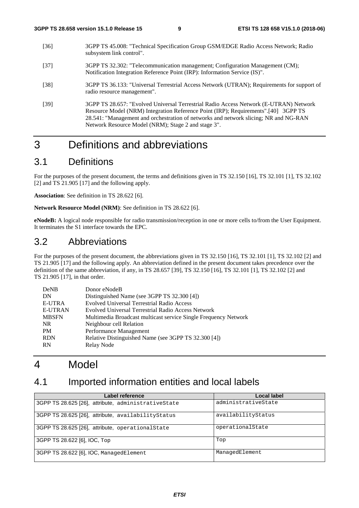- [36] 3GPP TS 45.008: "Technical Specification Group GSM/EDGE Radio Access Network; Radio subsystem link control".
- [37] 3GPP TS 32.302: "Telecommunication management; Configuration Management (CM); Notification Integration Reference Point (IRP): Information Service (IS)".
- [38] 3GPP TS 36.133: "Universal Terrestrial Access Network (UTRAN); Requirements for support of radio resource management".
- [39] 3GPP TS 28.657: "Evolved Universal Terrestrial Radio Access Network (E-UTRAN) Network Resource Model (NRM) Integration Reference Point (IRP); Requirements".[40] 3GPP TS 28.541: "Management and orchestration of networks and network slicing; NR and NG-RAN Network Resource Model (NRM); Stage 2 and stage 3".

# 3 Definitions and abbreviations

# 3.1 Definitions

For the purposes of the present document, the terms and definitions given in TS 32.150 [16], TS 32.101 [1], TS 32.102 [2] and TS 21.905 [17] and the following apply.

**Association**: See definition in TS 28.622 [6].

**Network Resource Model (NRM)**: See definition in TS 28.622 [6].

**eNodeB:** A logical node responsible for radio transmission/reception in one or more cells to/from the User Equipment. It terminates the S1 interface towards the EPC.

# 3.2 Abbreviations

For the purposes of the present document, the abbreviations given in TS 32.150 [16], TS 32.101 [1], TS 32.102 [2] and TS 21.905 [17] and the following apply. An abbreviation defined in the present document takes precedence over the definition of the same abbreviation, if any, in TS 28.657 [39], TS 32.150 [16], TS 32.101 [1], TS 32.102 [2] and TS 21.905 [17], in that order.

| <b>DeNB</b>    | Donor eNodeB                                                    |
|----------------|-----------------------------------------------------------------|
| DN             | Distinguished Name (see 3GPP TS 32.300 [4])                     |
| E-UTRA         | Evolved Universal Terrestrial Radio Access                      |
| <b>E-UTRAN</b> | Evolved Universal Terrestrial Radio Access Network              |
| <b>MBSFN</b>   | Multimedia Broadcast multicast service Single Frequency Network |
| NR.            | Neighbour cell Relation                                         |
| <b>PM</b>      | Performance Management                                          |
| <b>RDN</b>     | Relative Distinguished Name (see 3GPP TS 32.300 [4])            |
| <b>RN</b>      | Relay Node                                                      |
|                |                                                                 |

# 4 Model

# 4.1 Imported information entities and local labels

| Label reference                                     | Local label         |
|-----------------------------------------------------|---------------------|
| 3GPP TS 28.625 [26], attribute, administrativeState | administrativeState |
| 3GPP TS 28.625 [26], attribute, availabilityStatus  | availabilityStatus  |
| 3GPP TS 28.625 [26], attribute, operational State   | operationalState    |
| 3GPP TS 28.622 [6], IOC, Top                        | Top                 |
| 3GPP TS 28.622 [6], IOC, ManagedElement             | ManagedElement      |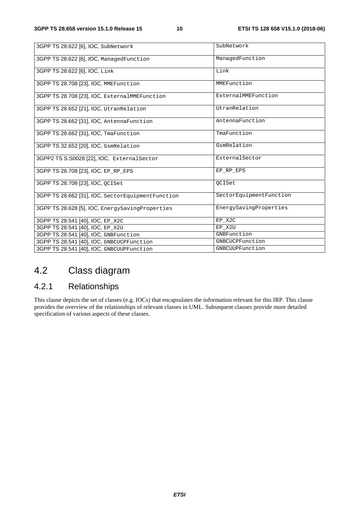| 3GPP TS 28.622 [6], IOC, SubNetwork               | SubNetwork              |
|---------------------------------------------------|-------------------------|
| 3GPP TS 28.622 [6], IOC, ManagedFunction          | ManagedFunction         |
| 3GPP TS 28.622 [6], IOC, Link                     | Link                    |
| 3GPP TS 28.708 [23], IOC, MMEFunction             | MMEFunction             |
| 3GPP TS 28.708 [23], IOC, ExternalMMEFunction     | ExternalMMEFunction     |
| 3GPP TS 28.652 [21], IOC, UtranRelation           | UtranRelation           |
| 3GPP TS 28.662 [31], IOC, AntennaFunction         | AntennaFunction         |
| 3GPP TS 28.662 [31], IOC, TmaFunction             | TmaFunction             |
| 3GPP TS 32.652 [20], IOC, GsmRelation             | GsmRelation             |
| 3GPP2 TS S.S0028 [22], IOC, ExternalSector        | ExternalSector          |
| 3GPP TS 28.708 [23], IOC, EP_RP_EPS               | EP RP EPS               |
| 3GPP TS 28.708 [23], IOC, OCISet                  | <b>QCISet</b>           |
| 3GPP TS 28.662 [31], IOC, SectorEquipmentFunction | SectorEquipmentFunction |
| 3GPP TS 28.628 [5], IOC, EnergySavingProperties   | EnergySavingProperties  |
| 3GPP TS 28.541 [40], IOC, EP_X2C                  | EP X2C                  |
| 3GPP TS 28.541 [40], IOC, EP_X2U                  | EP_X2U                  |
| 3GPP TS 28.541 [40], IOC, GNBFunction             | GNBFunction             |
| 3GPP TS 28.541 [40], IOC, GNBCUCPFunction         | GNBCUCPFunction         |
| 3GPP TS 28.541 [40], IOC, GNBCUUPFunction         | GNBCUUPFunction         |

# 4.2 Class diagram

# 4.2.1 Relationships

This clause depicts the set of classes (e.g. IOCs) that encapsulates the information relevant for this IRP. This clause provides the overview of the relationships of relevant classes in UML. Subsequent clauses provide more detailed specification of various aspects of these classes.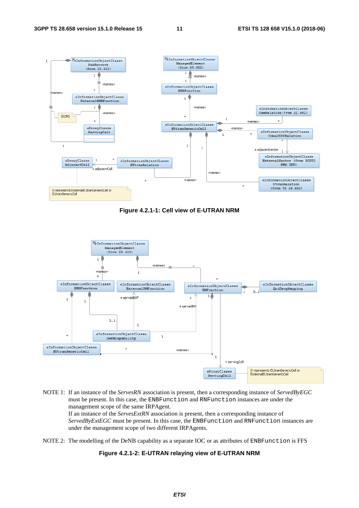

**Figure 4.2.1-1: Cell view of E-UTRAN NRM** 



- NOTE 1: If an instance of the *ServesRN* association is present, then a corresponding instance of *ServedByEGC* must be present. In this case, the ENBFunction and RNFunction instances are under the management scope of the same IRPAgent. If an instance of the *ServesExtRN* association is present, then a corresponding instance of *ServedByExtEGC* must be present. In this case, the ENBFunction and RNFunction instances are under the management scope of two different IRPAgents.
- NOTE 2: The modelling of the DeNB capability as a separate IOC or as attributes of ENBFunction is FFS

#### **Figure 4.2.1-2: E-UTRAN relaying view of E-UTRAN NRM**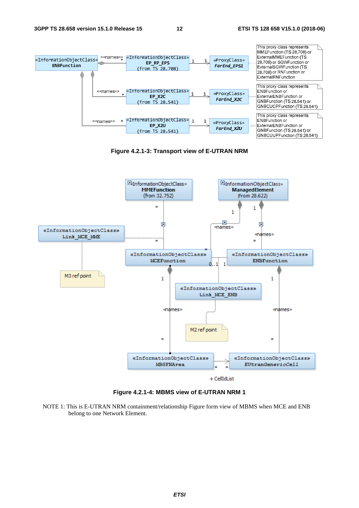

**Figure 4.2.1-3: Transport view of E-UTRAN NRM** 



**Figure 4.2.1-4: MBMS view of E-UTRAN NRM 1** 

NOTE 1: This is E-UTRAN NRM containment/relationship Figure form view of MBMS when MCE and ENB belong to one Network Element.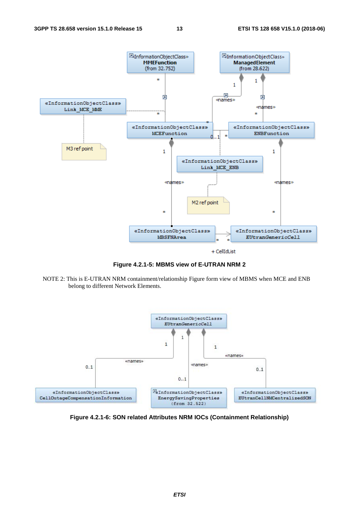

**Figure 4.2.1-5: MBMS view of E-UTRAN NRM 2** 

NOTE 2: This is E-UTRAN NRM containment/relationship Figure form view of MBMS when MCE and ENB belong to different Network Elements.



**Figure 4.2.1-6: SON related Attributes NRM IOCs (Containment Relationship)**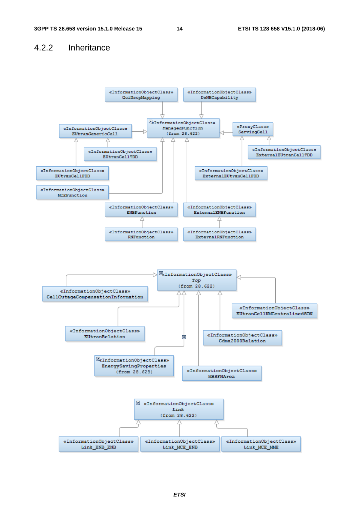# 4.2.2 Inheritance

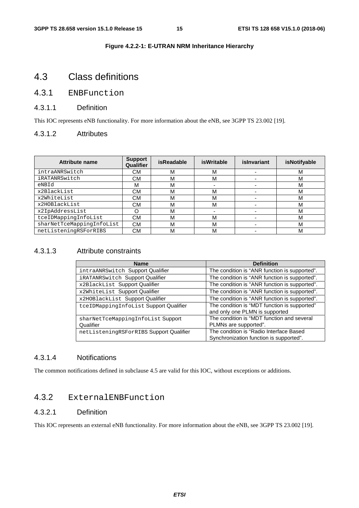#### **Figure 4.2.2-1: E-UTRAN NRM Inheritance Hierarchy**

# 4.3 Class definitions

# 4.3.1 ENBFunction

#### 4.3.1.1 Definition

This IOC represents eNB functionality. For more information about the eNB, see 3GPP TS 23.002 [19].

#### 4.3.1.2 Attributes

| <b>Attribute name</b>     | <b>Support</b><br>Qualifier | <b>isReadable</b> | isWritable | islnvariant | isNotifyable |
|---------------------------|-----------------------------|-------------------|------------|-------------|--------------|
| intraANRSwitch            | CМ                          | M                 | М          |             | M            |
| iRATANRSwitch             | CМ                          | M                 | М          |             | м            |
| eNBId                     | м                           | M                 |            |             | М            |
| x2BlackList               | СM                          | M                 | М          |             | М            |
| x2WhiteList               | CМ                          | M                 | М          |             | M            |
| x2HOBlackList             | СM                          | M                 | М          |             | M            |
| x2IpAddressList           | O                           | M                 |            |             | M            |
| tceIDMappingInfoList      | СM                          | M                 | М          |             | M            |
| sharNetTceMappingInfoList | <b>CM</b>                   | M                 | М          |             | М            |
| netListeningRSForRIBS     | СM                          | M                 | М          |             | М            |

# 4.3.1.3 Attribute constraints

| <b>Name</b>                             | <b>Definition</b>                                                                  |
|-----------------------------------------|------------------------------------------------------------------------------------|
| intraANRSwitch Support Qualifier        | The condition is "ANR function is supported".                                      |
| iRATANRSwitch Support Qualifier         | The condition is "ANR function is supported".                                      |
| x2BlackList Support Qualifier           | The condition is "ANR function is supported".                                      |
| x2WhiteList Support Qualifier           | The condition is "ANR function is supported".                                      |
| x2HOBlackList Support Qualifier         | The condition is "ANR function is supported".                                      |
| tceIDMappingInfoList Support Qualifier  | The condition is "MDT function is supported"<br>and only one PLMN is supported     |
| sharNetTceMappingInfoList Support       | The condition is "MDT function and several                                         |
| Qualifier                               | PLMNs are supported".                                                              |
| netListeningRSForRIBS Support Qualifier | The condition is "Radio Interface Based<br>Synchronization function is supported". |

# 4.3.1.4 Notifications

The common notifications defined in subclause 4.5 are valid for this IOC, without exceptions or additions.

# 4.3.2 ExternalENBFunction

#### 4.3.2.1 Definition

This IOC represents an external eNB functionality. For more information about the eNB, see 3GPP TS 23.002 [19].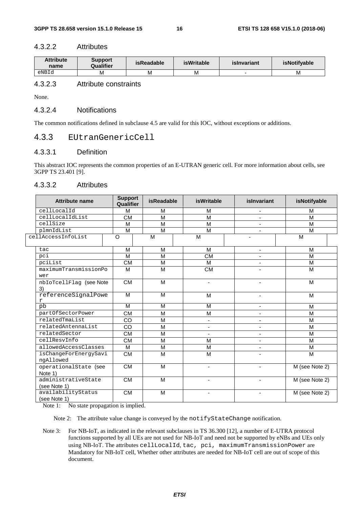#### 4.3.2.2 Attributes

| Attribute<br><b>Support</b><br>Qualifier<br>name |   | isReadable | <b>isWritable</b> | islnvariant | <i>isNotifyable</i> |
|--------------------------------------------------|---|------------|-------------------|-------------|---------------------|
| eNBId                                            | M | M          | М                 |             | M                   |

# 4.3.2.3 Attribute constraints

None.

#### 4.3.2.4 Notifications

The common notifications defined in subclause 4.5 are valid for this IOC, without exceptions or additions.

# 4.3.3 EUtranGenericCell

# 4.3.3.1 Definition

This abstract IOC represents the common properties of an E-UTRAN generic cell. For more information about cells, see 3GPP TS 23.401 [9].

#### 4.3.3.2 Attributes

| <b>Attribute name</b>               | <b>Support</b><br>Qualifier | <b>isReadable</b>       | isWritable               | islnvariant              | isNotifyable   |
|-------------------------------------|-----------------------------|-------------------------|--------------------------|--------------------------|----------------|
| cellLocalId                         | M                           | M                       | M                        | $\overline{\phantom{a}}$ | M              |
| cellLocalIdList                     | <b>CM</b>                   | M                       | M                        | ä,                       | M              |
| cellSize                            | M                           | M                       | M                        |                          | M              |
| plmnIdList                          | M                           | M                       | M                        |                          | M              |
| cellAccessInfoList                  | O                           | M                       | M                        |                          | M              |
| tac                                 | M                           | M                       | M                        | $\overline{\phantom{a}}$ | M              |
| pci                                 | M                           | M                       | <b>CM</b>                | $\blacksquare$           | M              |
| pciList                             | <b>CM</b>                   | M                       | M                        |                          | M              |
| maximumTransmissionPo<br>wer        | M                           | M                       | <b>CM</b>                |                          | M              |
| nbIoTcellFlag (see Note<br>3)       | <b>CM</b>                   | M                       | $\blacksquare$           | $\blacksquare$           | M              |
| referenceSignalPowe<br>r            | M                           | M                       | M                        | $\overline{\phantom{a}}$ | M              |
| pb                                  | M                           | M                       | M                        | $\blacksquare$           | M              |
| partOfSectorPower                   | <b>CM</b>                   | M                       | M                        |                          | M              |
| relatedTmaList                      | CO                          | M                       | $\blacksquare$           | $\blacksquare$           | M              |
| relatedAntennaList                  | CO                          | M                       | ä,                       |                          | M              |
| relatedSector                       | <b>CM</b>                   | $\overline{\mathsf{M}}$ |                          | ä,                       | M              |
| cellResvInfo                        | <b>CM</b>                   | M                       | M                        | $\blacksquare$           | M              |
| allowedAccessClasses                | M                           | M                       | M                        |                          | M              |
| isChangeForEnergySavi<br>ngAllowed  | <b>CM</b>                   | M                       | M                        |                          | M              |
| operationalState (see<br>Note 1)    | <b>CM</b>                   | M                       |                          |                          | M (see Note 2) |
| administrativeState<br>(see Note 1) | <b>CM</b>                   | M                       |                          |                          | M (see Note 2) |
| availabilityStatus<br>(see Note 1)  | <b>CM</b>                   | M                       | $\overline{\phantom{a}}$ |                          | M (see Note 2) |

Note 1: No state propagation is implied.

Note 2: The attribute value change is conveyed by the notifyStateChange notification.

Note 3: For NB-IoT, as indicated in the relevant subclauses in TS 36.300 [12], a number of E-UTRA protocol functions supported by all UEs are not used for NB-IoT and need not be supported by eNBs and UEs only using NB-IoT. The attributes cellLocalId, tac, pci, maximumTransmissionPower are Mandatory for NB-IoT cell, Whether other attributes are needed for NB-IoT cell are out of scope of this document.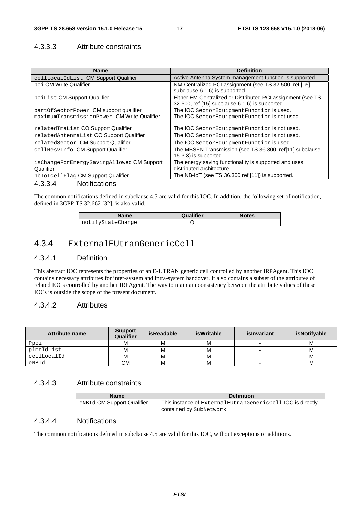# 4.3.3.3 Attribute constraints

| Name                                        | <b>Definition</b>                                           |
|---------------------------------------------|-------------------------------------------------------------|
| cellLocalIdList CM Support Qualifier        | Active Antenna System management function is supported      |
| pci CM Write Qualifier                      | NM-Centralized PCI assignment (see TS 32.500, ref [15]      |
|                                             | subclause 6.1.6) is supported.                              |
| pciList CM Support Qualifier                | Either EM-Centralized or Distributed PCI assignment (see TS |
|                                             | 32.500, ref [15] subclause 6.1.6) is supported.             |
| partOfSectorPower CM support qualifier      | The IOC SectorEquipmentFunction is used.                    |
| maximumTransmissionPower CM Write Qualifier | The IOC SectorEquipmentFunction is not used.                |
|                                             |                                                             |
| relatedTmaList CO Support Qualifier         | The IOC Sector Equipment Function is not used.              |
| relatedAntennaList CO Support Qualifier     | The IOC Sector Equipment Function is not used.              |
| relatedSector CM Support Qualifier          | The IOC SectorEquipmentFunction is used.                    |
| cellResvInfo CM Support Qualifier           | The MBSFN Transmission (see TS 36.300, ref[11] subclause    |
|                                             | $(15.3.3)$ is supported.                                    |
| isChangeForEnergySavingAllowed CM Support   | The energy saving functionality is supported and uses       |
| Qualifier                                   | distributed architecture.                                   |
| nbIoTcellFlag CM Support Qualifier          | The NB-IoT (see TS 36.300 ref [11]) is supported.           |

#### 4.3.3.4 Notifications

The common notifications defined in subclause 4.5 are valid for this IOC. In addition, the following set of notification, defined in 3GPP TS 32.662 [32], is also valid.

| Name              | <b>Qualifier</b> | <b>Notes</b> |
|-------------------|------------------|--------------|
| notifyStateChange |                  |              |

# 4.3.4 ExternalEUtranGenericCell

#### 4.3.4.1 Definition

.

This abstract IOC represents the properties of an E-UTRAN generic cell controlled by another IRPAgent. This IOC contains necessary attributes for inter-system and intra-system handover. It also contains a subset of the attributes of related IOCs controlled by another IRPAgent. The way to maintain consistency between the attribute values of these IOCs is outside the scope of the present document.

### 4.3.4.2 Attributes

| Attribute name | <b>Support</b><br>Qualifier | isReadable | isWritable | islnvariant | isNotifyable |
|----------------|-----------------------------|------------|------------|-------------|--------------|
| Ppci           | M                           | М          | м          |             | M            |
| plmnIdList     | м                           | М          | М          | -           | M            |
| cellLocalId    |                             | м          | М          |             | M            |
| eNBId          | CМ                          | M          | М          | -           | М            |

# 4.3.4.3 Attribute constraints

| <b>Name</b>                | <b>Definition</b>                                             |
|----------------------------|---------------------------------------------------------------|
| eNBId CM Support Qualifier | This instance of External EUtran Generic Cell IOC is directly |
|                            | contained by SubNetwork.                                      |

# 4.3.4.4 Notifications

The common notifications defined in subclause 4.5 are valid for this IOC, without exceptions or additions.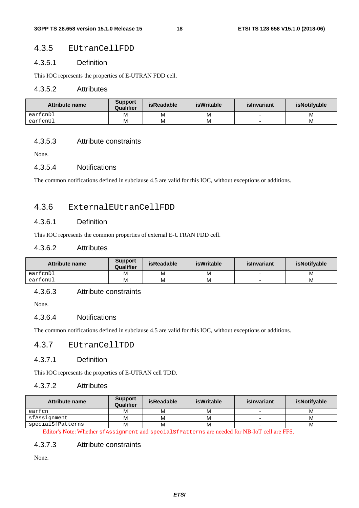# 4.3.5 EUtranCellFDD

#### 4.3.5.1 Definition

This IOC represents the properties of E-UTRAN FDD cell.

#### 4.3.5.2 Attributes

| Attribute name | <b>Support</b><br>Qualifier | isReadable | isWritable | islnvariant | <b>isNotifvable</b> |
|----------------|-----------------------------|------------|------------|-------------|---------------------|
| earfcnDl       | Μ                           | М          | М          |             | M                   |
| earfcnUl       | Μ                           | М          | М          |             | M                   |

### 4.3.5.3 Attribute constraints

None.

#### 4.3.5.4 Notifications

The common notifications defined in subclause 4.5 are valid for this IOC, without exceptions or additions.

# 4.3.6 ExternalEUtranCellFDD

# 4.3.6.1 Definition

This IOC represents the common properties of external E-UTRAN FDD cell.

### 4.3.6.2 Attributes

| Attribute name | <b>Support</b><br>Qualifier | <b>isReadable</b> | isWritable | islnvariant | isNotifyable |
|----------------|-----------------------------|-------------------|------------|-------------|--------------|
| earfcnDl       | Μ                           | M                 | М          | -           | M            |
| earfcnUl       | м                           | M                 | M          | -           | M            |

### 4.3.6.3 Attribute constraints

None.

#### 4.3.6.4 Notifications

The common notifications defined in subclause 4.5 are valid for this IOC, without exceptions or additions.

### 4.3.7 EUtranCellTDD

#### 4.3.7.1 Definition

This IOC represents the properties of E-UTRAN cell TDD.

### 4.3.7.2 Attributes

| Attribute name    | <b>Support</b><br>Qualifier | isReadable | isWritable | islnvariant | isNotifyable |
|-------------------|-----------------------------|------------|------------|-------------|--------------|
| earfcn            | м                           |            | м          |             | M            |
| sfAssignment      | м                           | м          | м          |             | M            |
| specialSfPatterns | м                           | M          | М          | $\sim$      | M            |

Editor's Note: Whether sfAssignment and specialSfPatterns are needed for NB-IoT cell are FFS.

#### 4.3.7.3 Attribute constraints

None.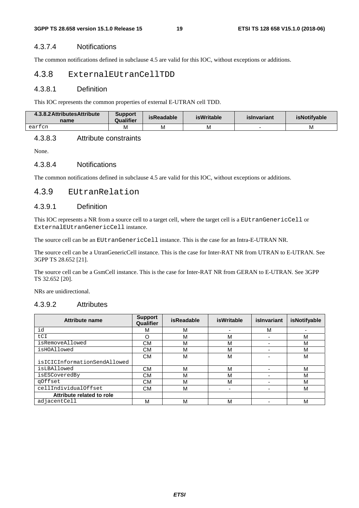### 4.3.7.4 Notifications

The common notifications defined in subclause 4.5 are valid for this IOC, without exceptions or additions.

# 4.3.8 ExternalEUtranCellTDD

#### 4.3.8.1 Definition

This IOC represents the common properties of external E-UTRAN cell TDD.

| 4.3.8.2 Attributes Attribute<br>name | <b>Support</b><br>Qualifier | <b>isReadable</b> | <b>isWritable</b> | islnvariant | <b>isNotifvable</b> |
|--------------------------------------|-----------------------------|-------------------|-------------------|-------------|---------------------|
| earfcn                               | M                           | м                 | M                 |             | M                   |

### 4.3.8.3 Attribute constraints

None.

#### 4.3.8.4 Notifications

The common notifications defined in subclause 4.5 are valid for this IOC, without exceptions or additions.

#### 4.3.9 EUtranRelation

#### 4.3.9.1 Definition

This IOC represents a NR from a source cell to a target cell, where the target cell is a EUtranGenericCell or ExternalEUtranGenericCell instance.

The source cell can be an EUtranGenericCell instance. This is the case for an Intra-E-UTRAN NR.

The source cell can be a UtranGenericCell instance. This is the case for Inter-RAT NR from UTRAN to E-UTRAN. See 3GPP TS 28.652 [21].

The source cell can be a GsmCell instance. This is the case for Inter-RAT NR from GERAN to E-UTRAN. See 3GPP TS 32.652 [20].

NRs are unidirectional.

#### 4.3.9.2 Attributes

| <b>Attribute name</b>        | <b>Support</b><br>Qualifier | <b>isReadable</b> | <b>isWritable</b> | islnvariant | isNotifyable |
|------------------------------|-----------------------------|-------------------|-------------------|-------------|--------------|
| id                           | м                           | M                 |                   | M           |              |
| tCI                          |                             | M                 | M                 |             | м            |
| isRemoveAllowed              | СM                          | м                 | М                 |             | M            |
| isHOAllowed                  | СM                          | M                 | М                 | -           | M            |
|                              | СM                          | M                 | М                 |             | M            |
| isICICInformationSendAllowed |                             |                   |                   |             |              |
| isLBAllowed                  | СM                          | M                 | M                 |             | м            |
| isESCoveredBy                | СM                          | M                 | M                 |             | м            |
| qOffset                      | СM                          | M                 | М                 | -           | м            |
| cellIndividualOffset         | CМ                          | M                 | -                 |             | м            |
| Attribute related to role    |                             |                   |                   |             |              |
| adjacentCell                 | м                           | M                 | M                 |             | M            |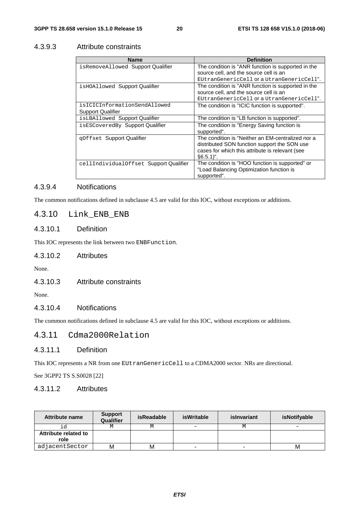# 4.3.9.3 Attribute constraints

| <b>Name</b>                            | <b>Definition</b>                                  |
|----------------------------------------|----------------------------------------------------|
| isRemoveAllowed Support Qualifier      | The condition is "ANR function is supported in the |
|                                        | source cell, and the source cell is an             |
|                                        | EUtranGenericCell or a UtranGenericCell".          |
| is HOAllowed Support Qualifier         | The condition is "ANR function is supported in the |
|                                        | source cell, and the source cell is an             |
|                                        | EUtranGenericCell or a UtranGenericCell".          |
| isICICInformationSendAllowed           | The condition is "ICIC function is supported".     |
| <b>Support Qualifier</b>               |                                                    |
| isLBAllowed Support Qualifier          | The condition is "LB function is supported".       |
| isESCoveredBy Support Qualifier        | The condition is "Energy Saving function is        |
|                                        | supported".                                        |
| qOffset Support Qualifier              | The condition is "Neither an EM-centralized nor a  |
|                                        | distributed SON function support the SON use       |
|                                        | cases for which this attribute is relevant (see    |
|                                        | $§6.5.1$ ".                                        |
| cellIndividualOffset Support Qualifier | The condition is "HOO function is supported" or    |
|                                        | "Load Balancing Optimization function is           |
|                                        | supported".                                        |

# 4.3.9.4 Notifications

The common notifications defined in subclause 4.5 are valid for this IOC, without exceptions or additions.

# 4.3.10 Link\_ENB\_ENB

# 4.3.10.1 Definition

This IOC represents the link between two ENBFunction.

#### 4.3.10.2 Attributes

None.

# 4.3.10.3 Attribute constraints

None.

# 4.3.10.4 Notifications

The common notifications defined in subclause 4.5 are valid for this IOC, without exceptions or additions.

# 4.3.11 Cdma2000Relation

# 4.3.11.1 Definition

This IOC represents a NR from one EUtranGenericCell to a CDMA2000 sector. NRs are directional.

See 3GPP2 TS S.S0028 [22]

# 4.3.11.2 Attributes

| <b>Attribute name</b>        | <b>Support</b><br>Qualifier | isReadable | isWritable      | islnvariant | isNotifyable |
|------------------------------|-----------------------------|------------|-----------------|-------------|--------------|
|                              | М                           | М          | $\qquad \qquad$ |             | -            |
| Attribute related to<br>role |                             |            |                 |             |              |
| adjacentSector               | М                           | М          | -               | -           | М            |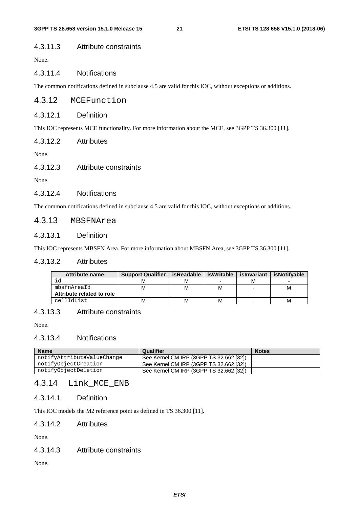#### 4.3.11.3 Attribute constraints

None.

# 4.3.11.4 Notifications

The common notifications defined in subclause 4.5 are valid for this IOC, without exceptions or additions.

### 4.3.12 MCEFunction

#### 4.3.12.1 Definition

This IOC represents MCE functionality. For more information about the MCE, see 3GPP TS 36.300 [11].

#### 4.3.12.2 Attributes

None.

#### 4.3.12.3 Attribute constraints

None.

#### 4.3.12.4 Notifications

The common notifications defined in subclause 4.5 are valid for this IOC, without exceptions or additions.

### 4.3.13 MBSFNArea

### 4.3.13.1 Definition

This IOC represents MBSFN Area. For more information about MBSFN Area, see 3GPP TS 36.300 [11].

#### 4.3.13.2 Attributes

| <b>Attribute name</b>     | <b>Support Qualifier</b> | isReadable | isWritable | islnvariant | isNotifvable |
|---------------------------|--------------------------|------------|------------|-------------|--------------|
| iα                        |                          | М          | -          | M           | -            |
| mbsfnAreaId               |                          | м          | м          |             |              |
| Attribute related to role |                          |            |            |             |              |
| cellIdList                |                          | М          | м          |             | м            |

#### 4.3.13.3 Attribute constraints

None.

#### 4.3.13.4 Notifications

| <b>Name</b>                | Qualifier                               | <b>Notes</b> |
|----------------------------|-----------------------------------------|--------------|
| notifyAttributeValueChange | See Kernel CM IRP (3GPP TS 32.662 [32]) |              |
| notifyObjectCreation       | See Kernel CM IRP (3GPP TS 32.662 [32]) |              |
| notifyObjectDeletion       | See Kernel CM IRP (3GPP TS 32.662 [32]) |              |

# 4.3.14 Link\_MCE\_ENB

#### 4.3.14.1 Definition

This IOC models the M2 reference point as defined in TS 36.300 [11].

#### 4.3.14.2 Attributes

None.

#### 4.3.14.3 Attribute constraints

None.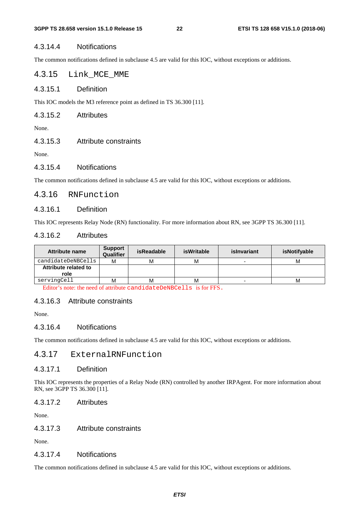#### 4.3.14.4 Notifications

The common notifications defined in subclause 4.5 are valid for this IOC, without exceptions or additions.

# 4.3.15 Link MCE MME

4.3.15.1 Definition

This IOC models the M3 reference point as defined in TS 36.300 [11].

4.3.15.2 Attributes

None.

4.3.15.3 Attribute constraints

None.

#### 4.3.15.4 Notifications

The common notifications defined in subclause 4.5 are valid for this IOC, without exceptions or additions.

### 4.3.16 RNFunction

### 4.3.16.1 Definition

This IOC represents Relay Node (RN) functionality. For more information about RN, see 3GPP TS 36.300 [11].

### 4.3.16.2 Attributes

| Attribute name       | <b>Support</b><br>Qualifier | <b>isReadable</b> | <b>isWritable</b> | islnvariant | isNotifyable |
|----------------------|-----------------------------|-------------------|-------------------|-------------|--------------|
| candidateDeNBCells   | м                           | М                 | м                 |             | м            |
| Attribute related to |                             |                   |                   |             |              |
| role                 |                             |                   |                   |             |              |
| servingCell          | M                           | М                 | м                 |             | М            |

Editor's note: the need of attribute candidateDeNBCells is for FFS.

### 4.3.16.3 Attribute constraints

None.

#### 4.3.16.4 Notifications

The common notifications defined in subclause 4.5 are valid for this IOC, without exceptions or additions.

# 4.3.17 ExternalRNFunction

#### 4.3.17.1 Definition

This IOC represents the properties of a Relay Node (RN) controlled by another IRPAgent. For more information about RN, see 3GPP TS 36.300 [11].

#### 4.3.17.2 Attributes

None.

#### 4.3.17.3 Attribute constraints

None.

#### 4.3.17.4 Notifications

The common notifications defined in subclause 4.5 are valid for this IOC, without exceptions or additions.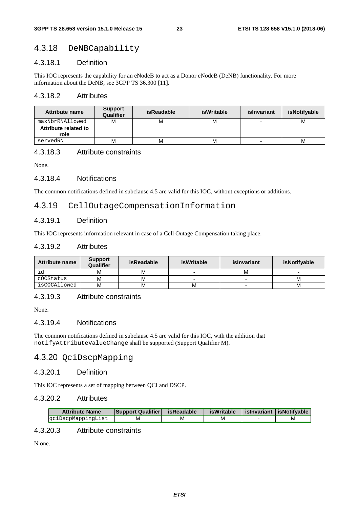# 4.3.18 DeNBCapability

#### 4.3.18.1 Definition

This IOC represents the capability for an eNodeB to act as a Donor eNodeB (DeNB) functionality. For more information about the DeNB, see 3GPP TS 36.300 [11].

#### 4.3.18.2 Attributes

| <b>Attribute name</b>        | <b>Support</b><br>Qualifier | isReadable | <b>isWritable</b> | islnvariant              | isNotifyable |
|------------------------------|-----------------------------|------------|-------------------|--------------------------|--------------|
| maxNbrRNAllowed              | M                           | M          | м                 | $\overline{\phantom{0}}$ | м            |
| Attribute related to<br>role |                             |            |                   |                          |              |
| servedRN                     | м                           | M          | М                 | $\overline{\phantom{0}}$ | м            |

### 4.3.18.3 Attribute constraints

None.

#### 4.3.18.4 Notifications

The common notifications defined in subclause 4.5 are valid for this IOC, without exceptions or additions.

#### 4.3.19 CellOutageCompensationInformation

#### 4.3.19.1 Definition

This IOC represents information relevant in case of a Cell Outage Compensation taking place.

### 4.3.19.2 Attributes

| <b>Attribute name</b> | <b>Support</b><br>Qualifier | isReadable | isWritable | islnvariant | isNotifyable |
|-----------------------|-----------------------------|------------|------------|-------------|--------------|
| ıd                    | M                           | м          |            | м           |              |
| cOCStatus             | M                           | М          |            |             | M            |
| isCOCAllowed          | M                           | М          | M          |             | M            |

### 4.3.19.3 Attribute constraints

None.

### 4.3.19.4 Notifications

The common notifications defined in subclause 4.5 are valid for this IOC, with the addition that notifyAttributeValueChange shall be supported (Support Qualifier M).

# 4.3.20 QciDscpMapping

#### 4.3.20.1 Definition

This IOC represents a set of mapping between QCI and DSCP.

#### 4.3.20.2 Attributes

| <b>Attribute Name</b> | <b>Support Qualifier</b> | isReadable | isWritable | slnvariant   isNotifvable |
|-----------------------|--------------------------|------------|------------|---------------------------|
| gciDscpMappingList    | M                        | M          | M          | M                         |

# 4.3.20.3 Attribute constraints

N one.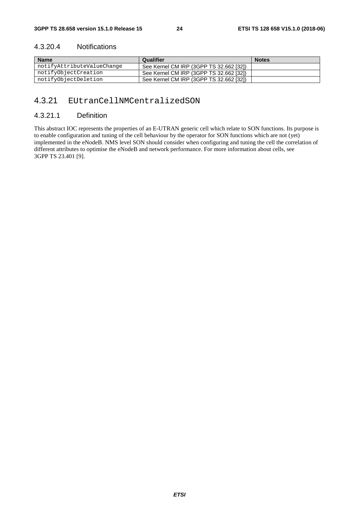### 4.3.20.4 Notifications

| <b>Name</b>                | Qualifier                               | <b>Notes</b> |
|----------------------------|-----------------------------------------|--------------|
| notifyAttributeValueChange | See Kernel CM IRP (3GPP TS 32.662 [32]) |              |
| notifyObjectCreation       | See Kernel CM IRP (3GPP TS 32.662 [32]) |              |
| notifyObjectDeletion       | See Kernel CM IRP (3GPP TS 32.662 [32]) |              |

# 4.3.21 EUtranCellNMCentralizedSON

# 4.3.21.1 Definition

This abstract IOC represents the properties of an E-UTRAN generic cell which relate to SON functions. Its purpose is to enable configuration and tuning of the cell behaviour by the operator for SON functions which are not (yet) implemented in the eNodeB. NMS level SON should consider when configuring and tuning the cell the correlation of different attributes to optimise the eNodeB and network performance. For more information about cells, see 3GPP TS 23.401 [9].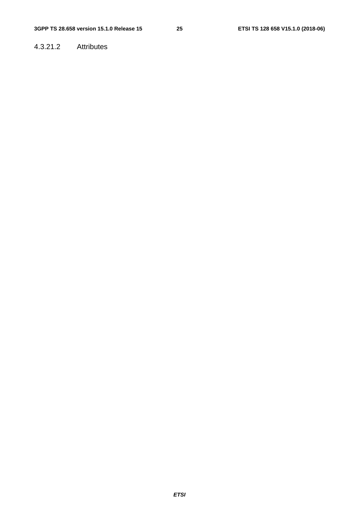# 4.3.21.2 Attributes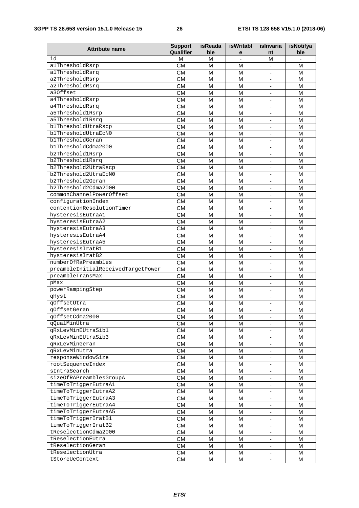| <b>Attribute name</b>                        | <b>Support</b><br>Qualifier | <b>isReada</b><br>ble | isWritabl | islnvaria                                  | <b>isNotifya</b> |
|----------------------------------------------|-----------------------------|-----------------------|-----------|--------------------------------------------|------------------|
| id                                           | м                           | м                     | е         | nt<br>М                                    | ble              |
| alThresholdRsrp                              | <b>CM</b>                   | М                     | М         |                                            | M                |
| alThresholdRsrq                              | $\overline{\text{CM}}$      | M                     | M         |                                            | M                |
| a2ThresholdRsrp                              | $\overline{\text{CM}}$      | M                     | M         | $\blacksquare$                             | M                |
| a2ThresholdRsrq                              | $\overline{\text{CM}}$      | M                     | M         | $\overline{\phantom{a}}$                   | M                |
| a30ffset                                     | <b>CM</b>                   | M                     | M         | $\overline{\phantom{a}}$                   | M                |
| a4ThresholdRsrp                              | <b>CM</b>                   | M                     | M         |                                            | M                |
| a4ThresholdRsrq                              | $\overline{\text{CM}}$      | M                     | M         | $\overline{\phantom{a}}$                   | M                |
| a5Threshold1Rsrp                             | $\overline{\text{CM}}$      | M                     | M         | $\overline{\phantom{a}}$                   | M                |
| a5Threshold1Rsrq                             | <b>CM</b>                   | M                     | M         |                                            | M                |
| blThresholdUtraRscp                          | <b>CM</b>                   | М                     | M         |                                            | М                |
| b1ThresholdUtraEcN0                          | $\overline{\text{CM}}$      | M                     | M         |                                            | M                |
| blThresholdGeran                             | <b>CM</b>                   | M                     | M         | $\blacksquare$                             | M                |
| b1ThresholdCdma2000                          | <b>CM</b>                   | м                     | M         | $\overline{\phantom{a}}$                   | М                |
| b2Threshold1Rsrp                             | <b>CM</b>                   | М                     | М         | $\overline{\phantom{a}}$                   | M                |
| b2Threshold1Rsrq                             | $\overline{\text{CM}}$      | М                     | M         |                                            | M                |
| b2Threshold2UtraRscp                         | $\overline{\text{CM}}$      | M                     | M         | $\blacksquare$                             | M                |
| b2Threshold2UtraEcN0                         | <b>CM</b>                   | M                     | M         | $\blacksquare$                             | M                |
| b2Threshold2Geran                            | <b>CM</b>                   | M                     | M         |                                            | M                |
| b2Threshold2Cdma2000                         | $\overline{\text{CM}}$      | M                     | M         | $\blacksquare$                             | M                |
| commonChannelPowerOffset                     | $\overline{\text{CM}}$      | M                     | M         | $\overline{\phantom{a}}$                   | M                |
| configurationIndex                           | <b>CM</b>                   | M                     | M         | $\overline{\phantom{a}}$                   | M                |
| contentionResolutionTimer                    | <b>CM</b>                   | М                     | М         | $\overline{\phantom{a}}$                   | M                |
| hysteresisEutraA1                            | $\overline{\text{CM}}$      | M                     | M         | $\overline{\phantom{a}}$                   | M                |
| hysteresisEutraA2                            | <b>CM</b>                   | M                     | M         | $\overline{\phantom{a}}$                   | M                |
| hysteresisEutraA3                            | <b>CM</b>                   | M                     | M         | $\blacksquare$                             | M                |
| hysteresisEutraA4                            | <b>CM</b>                   | M                     | M         |                                            | М                |
| hysteresisEutraA5                            | $\overline{\text{CM}}$      | M                     | M         |                                            | M                |
| hysteresisIratB1                             | <b>CM</b>                   | M                     | M         | $\overline{\phantom{a}}$                   | M                |
| hysteresisIratB2                             | <b>CM</b>                   | M                     | M         | $\blacksquare$                             | M                |
| numberOfRaPreambles                          | <b>CM</b>                   | м                     | М         | $\overline{\phantom{a}}$                   | M                |
| preambleInitialReceivedTargetPower           | $\overline{\text{CM}}$      | М                     | M         |                                            | M                |
| preambleTransMax                             | <b>CM</b>                   | M                     | M         | $\blacksquare$                             | M                |
| pMax                                         | <b>CM</b>                   | M                     | М         |                                            | M                |
| powerRampingStep                             | <b>CM</b>                   | M                     | M         |                                            | M                |
| qHyst                                        | <b>CM</b>                   | M                     | M         |                                            | M                |
| qOffsetUtra                                  | <b>CM</b>                   | M                     | M         | $\overline{\phantom{a}}$                   | M                |
| qOffsetGeran                                 | <b>CM</b>                   | $\overline{M}$        | M         | $\overline{\phantom{a}}$                   | M                |
| qOffsetCdma2000                              | CM                          | м                     | M         | $\overline{\phantom{a}}$                   | м                |
| qQualMinUtra                                 | <b>CM</b>                   | М                     | М         |                                            | м                |
| qRxLevMinEUtraSib1                           | <b>CM</b>                   | M                     | M         | $\blacksquare$                             | M                |
| qRxLevMinEUtraSib3                           | <b>CM</b>                   | M                     | M         | $\blacksquare$                             | M                |
| gRxLevMinGeran                               | <b>CM</b>                   | м                     | м         | $\overline{\phantom{a}}$                   | м                |
| qRxLevMinUtra                                | <b>CM</b>                   | M                     | M         | $\blacksquare$                             | м                |
| responseWindowSize                           | <b>CM</b>                   | M                     | M         | $\blacksquare$                             | M                |
| rootSequenceIndex                            | <b>CM</b>                   | M                     | M         | $\blacksquare$                             | M                |
| sIntraSearch                                 | <b>CM</b>                   | м                     | м         | $\blacksquare$                             | м                |
| sizeOfRAPreamblesGroupA                      | <b>CM</b>                   | М                     | M         | $\blacksquare$                             | M                |
| timeToTriggerEutraA1                         | <b>CM</b>                   | M                     | M         | $\overline{\phantom{a}}$                   | M                |
| timeToTriggerEutraA2                         | <b>CM</b>                   | M                     | M         | $\blacksquare$                             | м                |
| timeToTriggerEutraA3<br>timeToTriggerEutraA4 | <b>CM</b>                   | м                     | м         |                                            | м                |
|                                              | <b>CM</b>                   | M                     | M         | $\blacksquare$                             | м                |
| timeToTriggerEutraA5<br>timeToTriggerIratB1  | <b>CM</b>                   | M                     | M         | $\blacksquare$                             | M                |
| timeToTriggerIratB2                          | <b>CM</b>                   | M                     | M         | $\overline{\phantom{a}}$                   | M                |
| tReselectionCdma2000                         | <b>CM</b><br><b>CM</b>      | M<br>М                | м<br>M    | $\blacksquare$<br>$\overline{\phantom{a}}$ | м<br>M           |
| tReselectionEUtra                            | <b>CM</b>                   | M                     | M         | $\overline{\phantom{a}}$                   | M                |
| tReselectionGeran                            | <b>CM</b>                   | M                     | M         | $\blacksquare$                             | м                |
| tReselectionUtra                             | CM.                         | м                     | м         |                                            | м                |
| tStoreUeContext                              | <b>CM</b>                   | M                     | M         | $\blacksquare$                             | M                |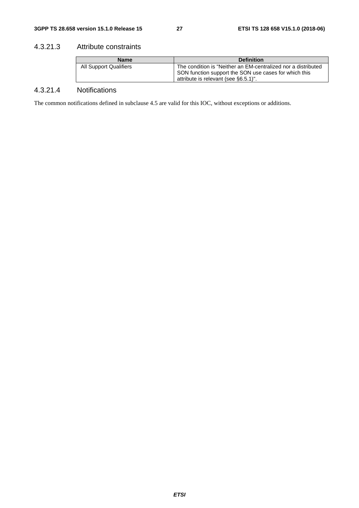# 4.3.21.3 Attribute constraints

| <b>Name</b>                   | <b>Definition</b>                                                                                                                                              |
|-------------------------------|----------------------------------------------------------------------------------------------------------------------------------------------------------------|
| <b>All Support Qualifiers</b> | The condition is "Neither an EM-centralized nor a distributed<br>SON function support the SON use cases for which this<br>attribute is relevant (see §6.5.1)". |

# 4.3.21.4 Notifications

The common notifications defined in subclause 4.5 are valid for this IOC, without exceptions or additions.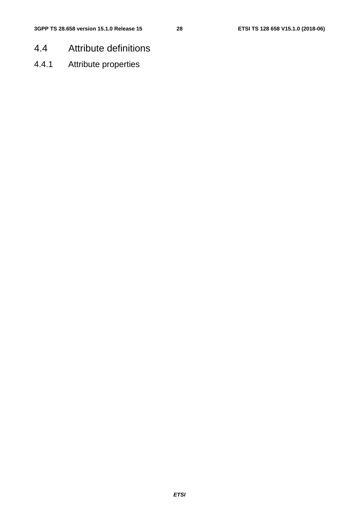- 4.4 Attribute definitions
- 4.4.1 Attribute properties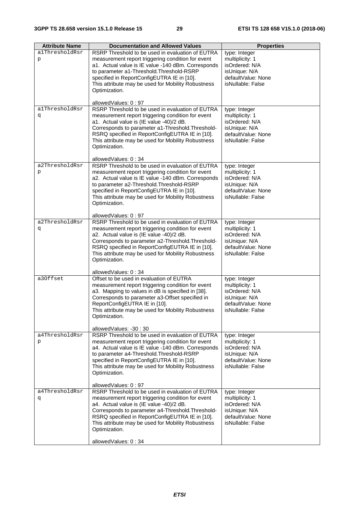| <b>Attribute Name</b> | <b>Documentation and Allowed Values</b>                                             | <b>Properties</b>                       |
|-----------------------|-------------------------------------------------------------------------------------|-----------------------------------------|
| alThresholdRsr        | RSRP Threshold to be used in evaluation of EUTRA                                    | type: Integer                           |
| p                     | measurement report triggering condition for event                                   | multiplicity: 1                         |
|                       | a1. Actual value is IE value -140 dBm. Corresponds                                  | isOrdered: N/A                          |
|                       | to parameter a1-Threshold. Threshold-RSRP                                           | isUnique: N/A                           |
|                       | specified in ReportConfigEUTRA IE in [10].                                          | defaultValue: None                      |
|                       | This attribute may be used for Mobility Robustness                                  | isNullable: False                       |
|                       | Optimization.                                                                       |                                         |
|                       |                                                                                     |                                         |
|                       | allowedValues: 0:97                                                                 |                                         |
| alThresholdRsr        | RSRP Threshold to be used in evaluation of EUTRA                                    | type: Integer                           |
| đ                     | measurement report triggering condition for event                                   | multiplicity: 1                         |
|                       | a1. Actual value is (IE value -40)/2 dB.                                            | isOrdered: N/A                          |
|                       | Corresponds to parameter a1-Threshold. Threshold-                                   | isUnique: N/A                           |
|                       | RSRQ specified in ReportConfigEUTRA IE in [10].                                     | defaultValue: None                      |
|                       | This attribute may be used for Mobility Robustness                                  | isNullable: False                       |
|                       | Optimization.                                                                       |                                         |
|                       |                                                                                     |                                         |
|                       | allowedValues: 0:34                                                                 |                                         |
| a2ThresholdRsr        | RSRP Threshold to be used in evaluation of EUTRA                                    | type: Integer                           |
| p                     | measurement report triggering condition for event                                   | multiplicity: 1                         |
|                       | a2. Actual value is IE value -140 dBm. Corresponds                                  | isOrdered: N/A                          |
|                       | to parameter a2-Threshold. Threshold-RSRP                                           | isUnique: N/A                           |
|                       | specified in ReportConfigEUTRA IE in [10].                                          | defaultValue: None                      |
|                       | This attribute may be used for Mobility Robustness                                  | isNullable: False                       |
|                       | Optimization.                                                                       |                                         |
|                       |                                                                                     |                                         |
|                       | allowedValues: 0:97                                                                 |                                         |
| a2ThresholdRsr        | RSRP Threshold to be used in evaluation of EUTRA                                    | type: Integer                           |
| đ                     | measurement report triggering condition for event                                   | multiplicity: 1                         |
|                       | a2. Actual value is (IE value -40)/2 dB.                                            | isOrdered: N/A                          |
|                       | Corresponds to parameter a2-Threshold. Threshold-                                   | isUnique: N/A                           |
|                       | RSRQ specified in ReportConfigEUTRA IE in [10].                                     | defaultValue: None                      |
|                       | This attribute may be used for Mobility Robustness                                  | isNullable: False                       |
|                       | Optimization.                                                                       |                                         |
|                       |                                                                                     |                                         |
|                       | allowedValues: 0:34                                                                 |                                         |
| a30ffset              | Offset to be used in evaluation of EUTRA                                            | type: Integer                           |
|                       | measurement report triggering condition for event                                   | multiplicity: 1                         |
|                       | a3. Mapping to values in dB is specified in [38].                                   | isOrdered: N/A                          |
|                       | Corresponds to parameter a3-Offset specified in                                     | isUnique: N/A                           |
|                       | ReportConfigEUTRA IE in [10].<br>This attribute may be used for Mobility Robustness | defaultValue: None<br>isNullable: False |
|                       | Optimization.                                                                       |                                         |
|                       |                                                                                     |                                         |
|                       | allowedValues: -30:30                                                               |                                         |
| a4ThresholdRsr        | RSRP Threshold to be used in evaluation of EUTRA                                    | type: Integer                           |
| p                     | measurement report triggering condition for event                                   | multiplicity: 1                         |
|                       | a4. Actual value is IE value -140 dBm. Corresponds                                  | isOrdered: N/A                          |
|                       | to parameter a4-Threshold. Threshold-RSRP                                           | isUnique: N/A                           |
|                       | specified in ReportConfigEUTRA IE in [10].                                          | defaultValue: None                      |
|                       | This attribute may be used for Mobility Robustness                                  | isNullable: False                       |
|                       | Optimization.                                                                       |                                         |
|                       |                                                                                     |                                         |
|                       | allowedValues: 0:97                                                                 |                                         |
| a4ThresholdRsr        | RSRP Threshold to be used in evaluation of EUTRA                                    | type: Integer                           |
| đ                     | measurement report triggering condition for event                                   | multiplicity: 1                         |
|                       | a4. Actual value is (IE value -40)/2 dB.                                            | isOrdered: N/A                          |
|                       | Corresponds to parameter a4-Threshold. Threshold-                                   | isUnique: N/A                           |
|                       | RSRQ specified in ReportConfigEUTRA IE in [10].                                     | defaultValue: None                      |
|                       | This attribute may be used for Mobility Robustness                                  | isNullable: False                       |
|                       | Optimization.                                                                       |                                         |
|                       |                                                                                     |                                         |
|                       | allowedValues: 0:34                                                                 |                                         |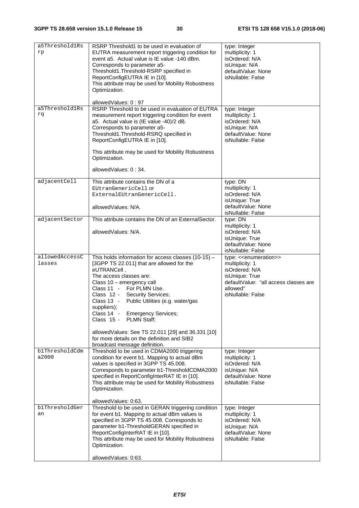| a5Threshold1Rs<br>rp     | RSRP Threshold1 to be used in evaluation of<br>EUTRA measurement report triggering condition for<br>event a5. Actual value is IE value -140 dBm.<br>Corresponds to parameter a5-<br>Threshold1.Threshold-RSRP specified in<br>ReportConfigEUTRA IE in [10].<br>This attribute may be used for Mobility Robustness<br>Optimization.                                                                                                                                                                       | type: Integer<br>multiplicity: 1<br>isOrdered: N/A<br>isUnique: N/A<br>defaultValue: None<br>isNullable: False                                                                 |
|--------------------------|----------------------------------------------------------------------------------------------------------------------------------------------------------------------------------------------------------------------------------------------------------------------------------------------------------------------------------------------------------------------------------------------------------------------------------------------------------------------------------------------------------|--------------------------------------------------------------------------------------------------------------------------------------------------------------------------------|
| a5Threshold1Rs<br>rq     | allowedValues: 0:97<br>RSRP Threshold to be used in evaluation of EUTRA<br>measurement report triggering condition for event<br>a5. Actual value is (IE value -40)/2 dB.<br>Corresponds to parameter a5-<br>Threshold1.Threshold-RSRQ specified in<br>ReportConfigEUTRA IE in [10].<br>This attribute may be used for Mobility Robustness<br>Optimization.<br>allowedValues: 0:34.                                                                                                                       | type: Integer<br>multiplicity: 1<br>isOrdered: N/A<br>isUnique: N/A<br>defaultValue: None<br>isNullable: False                                                                 |
| adjacentCell             | This attribute contains the DN of a<br>EUtranGenericCell or<br>ExternalEUtranGenericCell.<br>allowedValues: N/A.                                                                                                                                                                                                                                                                                                                                                                                         | type: DN<br>multiplicity: 1<br>isOrdered: N/A<br>isUnique: True<br>defaultValue: None                                                                                          |
| adjacentSector           | This attribute contains the DN of an ExternalSector.<br>allowedValues: N/A.                                                                                                                                                                                                                                                                                                                                                                                                                              | isNullable: False<br>type: DN<br>multiplicity: 1<br>isOrdered: N/A<br>isUnique: True<br>defaultValue: None<br>isNullable: False                                                |
| allowedAccessC<br>lasses | This holds information for access classes (10-15) -<br>[3GPP TS 22.011] that are allowed for the<br>eUTRANCell.<br>The access classes are:<br>Class 10 - emergency call<br>Class 11 - For PLMN Use.<br>Class 12 - Security Services;<br>Public Utilities (e.g. water/gas<br>Class $13 -$<br>suppliers);<br>Class 14 - Emergency Services;<br>Class 15 - PLMN Staff;<br>allowedValues: See TS 22.011 [29] and 36.331 [10]<br>for more details on the definition and SIB2<br>broadcast message definition. | type: < <enumeration>&gt;<br/>multiplicity: 1<br/>isOrdered: N/A<br/>isUnique: True<br/>defaultValue: "all access classes are<br/>allowed"<br/>isNullable: False</enumeration> |
| b1ThresholdCdm<br>a2000  | Threshold to be used in CDMA2000 triggering<br>condition for event b1. Mapping to actual dBm<br>values is specified in 3GPP TS 45.008.<br>Corresponds to parameter b1-ThresholdCDMA2000<br>specified in ReportConfigInterRAT IE in [10].<br>This attribute may be used for Mobility Robustness<br>Optimization.<br>allowedValues: 0:63.                                                                                                                                                                  | type: Integer<br>multiplicity: 1<br>isOrdered: N/A<br>isUnique: N/A<br>defaultValue: None<br>isNullable: False                                                                 |
| blThresholdGer<br>an     | Threshold to be used in GERAN triggering condition<br>for event b1. Mapping to actual dBm values is<br>specified in 3GPP TS 45.008. Corresponds to<br>parameter b1-ThresholdGERAN specified in<br>ReportConfigInterRAT IE in [10].<br>This attribute may be used for Mobility Robustness<br>Optimization.<br>allowedValues: 0:63.                                                                                                                                                                        | type: Integer<br>multiplicity: 1<br>isOrdered: N/A<br>isUnique: N/A<br>defaultValue: None<br>isNullable: False                                                                 |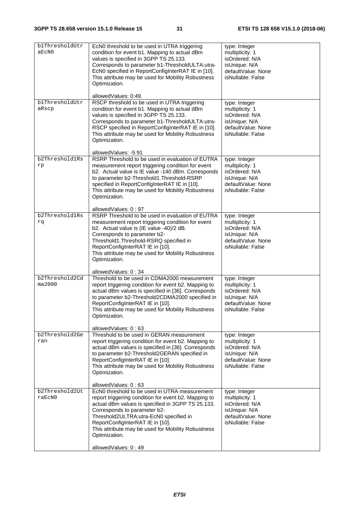| blThresholdUtr<br>aEcN0  | EcN0 threshold to be used in UTRA triggering<br>condition for event b1. Mapping to actual dBm<br>values is specified in 3GPP TS 25.133.<br>Corresponds to parameter b1-ThresholdULTA:utra-<br>EcN0 specified in ReportConfigInterRAT IE in [10].<br>This attribute may be used for Mobility Robustness<br>Optimization.                                                         | type: Integer<br>multiplicity: 1<br>isOrdered: N/A<br>isUnique: N/A<br>defaultValue: None<br>isNullable: False |
|--------------------------|---------------------------------------------------------------------------------------------------------------------------------------------------------------------------------------------------------------------------------------------------------------------------------------------------------------------------------------------------------------------------------|----------------------------------------------------------------------------------------------------------------|
| b1ThresholdUtr<br>aRscp  | allowedValues: 0:49.<br>RSCP threshold to be used in UTRA triggering<br>condition for event b1. Mapping to actual dBm<br>values is specified in 3GPP TS 25.133.<br>Corresponds to parameter b1-ThresholdULTA:utra-<br>RSCP specified in ReportConfigInterRAT IE in [10].<br>This attribute may be used for Mobility Robustness<br>Optimization.                                 | type: Integer<br>multiplicity: 1<br>isOrdered: N/A<br>isUnique: N/A<br>defaultValue: None<br>isNullable: False |
| b2Threshold1Rs<br>rp     | allowedValues: -5:91<br>RSRP Threshold to be used in evaluation of EUTRA<br>measurement report triggering condition for event<br>b2. Actual value is IE value -140 dBm. Corresponds<br>to parameter b2-Threshold1.Threshold-RSRP<br>specified in ReportConfigInterRAT IE in [10].<br>This attribute may be used for Mobility Robustness<br>Optimization.<br>allowedValues: 0:97 | type: Integer<br>multiplicity: 1<br>isOrdered: N/A<br>isUnique: N/A<br>defaultValue: None<br>isNullable: False |
| b2Threshold1Rs<br>rq     | RSRP Threshold to be used in evaluation of EUTRA<br>measurement report triggering condition for event<br>b2. Actual value is (IE value -40)/2 dB.<br>Corresponds to parameter b2-<br>Threshold1.Threshold-RSRQ specified in<br>ReportConfigInterRAT IE in [10].<br>This attribute may be used for Mobility Robustness<br>Optimization.                                          | type: Integer<br>multiplicity: 1<br>isOrdered: N/A<br>isUnique: N/A<br>defaultValue: None<br>isNullable: False |
| b2Threshold2Cd<br>ma2000 | allowedValues: 0:34<br>Threshold to be used in CDMA2000 measurement<br>report triggering condition for event b2. Mapping to<br>actual dBm values is specified in [36]. Corresponds<br>to parameter b2-Threshold2CDMA2000 specified in<br>ReportConfigInterRAT IE in [10].<br>This attribute may be used for Mobility Robustness<br>Optimization.<br>allowedValues: 0:63         | type: Integer<br>multiplicity: 1<br>isOrdered: N/A<br>isUnique: N/A<br>defaultValue: None<br>isNullable: False |
| b2Threshold2Ge<br>ran    | Threshold to be used in GERAN measurement<br>report triggering condition for event b2. Mapping to<br>actual dBm values is specified in [36]. Corresponds<br>to parameter b2-Threshold2GERAN specified in<br>ReportConfigInterRAT IE in [10].<br>This attribute may be used for Mobility Robustness<br>Optimization.<br>allowedValues: 0:63                                      | type: Integer<br>multiplicity: 1<br>isOrdered: N/A<br>isUnique: N/A<br>defaultValue: None<br>isNullable: False |
| b2Threshold2Ut<br>raEcN0 | EcN0 threshold to be used in UTRA measurement<br>report triggering condition for event b2. Mapping to<br>actual dBm values is specified in 3GPP TS 25.133.<br>Corresponds to parameter b2-<br>Threshold2ULTRA:utra-EcN0 specified in<br>ReportConfigInterRAT IE in [10].<br>This attribute may be used for Mobility Robustness<br>Optimization.<br>allowedValues: 0:49          | type: Integer<br>multiplicity: 1<br>isOrdered: N/A<br>isUnique: N/A<br>defaultValue: None<br>isNullable: False |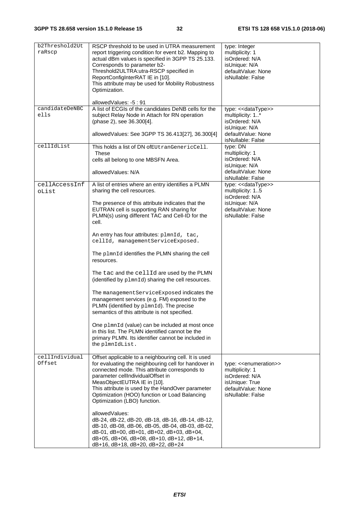| b2Threshold2Ut<br>raRscp | RSCP threshold to be used in UTRA measurement<br>report triggering condition for event b2. Mapping to<br>actual dBm values is specified in 3GPP TS 25.133.<br>Corresponds to parameter b2-<br>Threshold2ULTRA:utra-RSCP specified in<br>ReportConfigInterRAT IE in [10].<br>This attribute may be used for Mobility Robustness<br>Optimization.                        | type: Integer<br>multiplicity: 1<br>isOrdered: N/A<br>isUnique: N/A<br>defaultValue: None<br>isNullable: False           |
|--------------------------|------------------------------------------------------------------------------------------------------------------------------------------------------------------------------------------------------------------------------------------------------------------------------------------------------------------------------------------------------------------------|--------------------------------------------------------------------------------------------------------------------------|
|                          | allowedValues: -5: 91                                                                                                                                                                                                                                                                                                                                                  |                                                                                                                          |
| candidateDeNBC<br>ells   | A list of ECGIs of the candidates DeNB cells for the<br>subject Relay Node in Attach for RN operation<br>(phase 2), see 36.300[4].                                                                                                                                                                                                                                     | type: << dataType>><br>multiplicity: 1*<br>isOrdered: N/A<br>isUnique: N/A                                               |
|                          | allowedValues: See 3GPP TS 36.413[27], 36.300[4]                                                                                                                                                                                                                                                                                                                       | defaultValue: None<br>isNullable: False                                                                                  |
| cellIdList               | This holds a list of DN of EUtranGenericCell.<br><b>These</b><br>cells all belong to one MBSFN Area.<br>allowedValues: N/A                                                                                                                                                                                                                                             | type: DN<br>multiplicity: 1<br>isOrdered: N/A<br>isUnique: N/A<br>defaultValue: None                                     |
|                          |                                                                                                                                                                                                                                                                                                                                                                        | isNullable: False                                                                                                        |
| cellAccessInf<br>oList   | A list of entries where an entry identifies a PLMN<br>sharing the cell resources.                                                                                                                                                                                                                                                                                      | type: << dataType>><br>multiplicity: 15<br>isOrdered: N/A                                                                |
|                          | The presence of this attribute indicates that the<br>EUTRAN cell is supporting RAN sharing for<br>PLMN(s) using different TAC and Cell-ID for the<br>cell.                                                                                                                                                                                                             | isUnique: N/A<br>defaultValue: None<br>isNullable: False                                                                 |
|                          | An entry has four attributes: plmnId, tac,<br>cellId, managementServiceExposed.                                                                                                                                                                                                                                                                                        |                                                                                                                          |
|                          | The plmnId identifies the PLMN sharing the cell<br>resources.                                                                                                                                                                                                                                                                                                          |                                                                                                                          |
|                          | The tac and the cellId are used by the PLMN<br>(identified by plmnId) sharing the cell resources.                                                                                                                                                                                                                                                                      |                                                                                                                          |
|                          | The management Service Exposed indicates the<br>management services (e.g. FM) exposed to the<br>PLMN (identified by plmnId). The precise<br>semantics of this attribute is not specified.                                                                                                                                                                              |                                                                                                                          |
|                          | One plmnId (value) can be included at most once<br>in this list. The PLMN identified cannot be the<br>primary PLMN. Its identifier cannot be included in<br>the plmnIdList.                                                                                                                                                                                            |                                                                                                                          |
| cellIndividual<br>Offset | Offset applicable to a neighbouring cell. It is used<br>for evaluating the neighbouring cell for handover in<br>connected mode. This attribute corresponds to<br>parameter cellIndividualOffset in<br>MeasObjectEUTRA IE in [10].<br>This attribute is used by the HandOver parameter<br>Optimization (HOO) function or Load Balancing<br>Optimization (LBO) function. | type: << enumeration>><br>multiplicity: 1<br>isOrdered: N/A<br>isUnique: True<br>defaultValue: None<br>isNullable: False |
|                          | allowedValues:<br>dB-24, dB-22, dB-20, dB-18, dB-16, dB-14, dB-12,<br>dB-10, dB-08, dB-06, dB-05, dB-04, dB-03, dB-02,<br>dB-01, dB+00, dB+01, dB+02, dB+03, dB+04,<br>dB+05, dB+06, dB+08, dB+10, dB+12, dB+14,<br>dB+16, dB+18, dB+20, dB+22, dB+24                                                                                                                  |                                                                                                                          |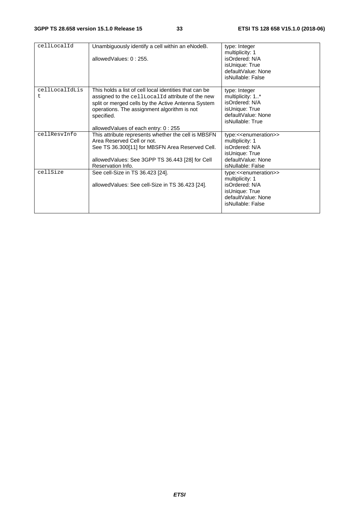| cellLocalId    | Unambiguously identify a cell within an eNodeB.<br>allowedValues: 0:255. | type: Integer<br>multiplicity: 1<br>isOrdered: N/A |
|----------------|--------------------------------------------------------------------------|----------------------------------------------------|
|                |                                                                          | isUnique: True                                     |
|                |                                                                          | defaultValue: None                                 |
|                |                                                                          | isNullable: False                                  |
|                |                                                                          |                                                    |
| cellLocalIdLis | This holds a list of cell local identities that can be                   | type: Integer                                      |
| t              | assigned to the cellLocalId attribute of the new                         | multiplicity: 1*                                   |
|                | split or merged cells by the Active Antenna System                       | isOrdered: N/A                                     |
|                | operations. The assignment algorithm is not                              | isUnique: True                                     |
|                | specified.                                                               | defaultValue: None                                 |
|                |                                                                          | isNullable: True                                   |
|                | allowed Values of each entry: 0:255                                      |                                                    |
| cellResvInfo   | This attribute represents whether the cell is MBSFN                      | type:< <enumeration>&gt;</enumeration>             |
|                | Area Reserved Cell or not.                                               | multiplicity: 1                                    |
|                | See TS 36.300[11] for MBSFN Area Reserved Cell.                          | isOrdered: N/A                                     |
|                |                                                                          | isUnique: True                                     |
|                | allowed Values: See 3GPP TS 36.443 [28] for Cell                         | defaultValue: None                                 |
|                | Reservation Info.                                                        | isNullable: False                                  |
| cellSize       | See cell-Size in TS 36.423 [24].                                         | type:< <enumeration>&gt;</enumeration>             |
|                |                                                                          | multiplicity: 1                                    |
|                | allowed Values: See cell-Size in TS 36.423 [24].                         | isOrdered: N/A                                     |
|                |                                                                          | isUnique: True                                     |
|                |                                                                          | defaultValue: None                                 |
|                |                                                                          | isNullable: False                                  |
|                |                                                                          |                                                    |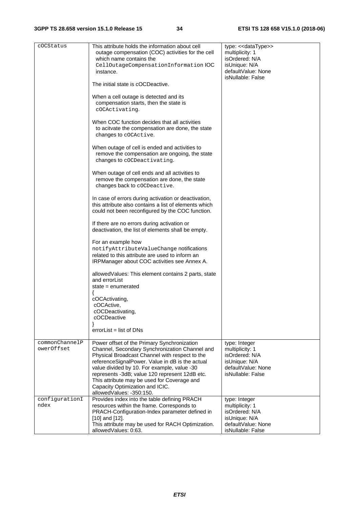#### **3GPP TS 28.658 version 15.1.0 Release 15 34 ETSI TS 128 658 V15.1.0 (2018-06)**

| cOCStatus                    | This attribute holds the information about cell<br>outage compensation (COC) activities for the cell<br>which name contains the<br>CellOutageCompensationInformationIOC<br>instance.                                                                                                                                                                                                                              | type: << dataType>><br>multiplicity: 1<br>isOrdered: N/A<br>isUnique: N/A<br>defaultValue: None<br>isNullable: False |
|------------------------------|-------------------------------------------------------------------------------------------------------------------------------------------------------------------------------------------------------------------------------------------------------------------------------------------------------------------------------------------------------------------------------------------------------------------|----------------------------------------------------------------------------------------------------------------------|
|                              | The initial state is cOCDeactive.                                                                                                                                                                                                                                                                                                                                                                                 |                                                                                                                      |
|                              | When a cell outage is detected and its<br>compensation starts, then the state is<br>cOCActivating.                                                                                                                                                                                                                                                                                                                |                                                                                                                      |
|                              | When COC function decides that all activities<br>to acitvate the compensation are done, the state<br>changes to cOCActive.                                                                                                                                                                                                                                                                                        |                                                                                                                      |
|                              | When outage of cell is ended and activities to<br>remove the compensation are ongoing, the state<br>changes to cOCDeactivating.                                                                                                                                                                                                                                                                                   |                                                                                                                      |
|                              | When outage of cell ends and all activities to<br>remove the compensation are done, the state<br>changes back to coCDeactive.                                                                                                                                                                                                                                                                                     |                                                                                                                      |
|                              | In case of errors during activation or deactivation,<br>this attribute also contains a list of elements which<br>could not been reconfigured by the COC function.                                                                                                                                                                                                                                                 |                                                                                                                      |
|                              | If there are no errors during activation or<br>deactivation, the list of elements shall be empty.                                                                                                                                                                                                                                                                                                                 |                                                                                                                      |
|                              | For an example how<br>notifyAttributeValueChange notifications<br>related to this attribute are used to inform an<br>IRPManager about COC activities see Annex A.                                                                                                                                                                                                                                                 |                                                                                                                      |
|                              | allowed Values: This element contains 2 parts, state<br>and errorList<br>state $=$ enumerated                                                                                                                                                                                                                                                                                                                     |                                                                                                                      |
|                              | cOCActivating,<br>cOCActive,<br>cOCDeactivating,<br>cOCDeactive<br>ł                                                                                                                                                                                                                                                                                                                                              |                                                                                                                      |
|                              | $errorList = list of DNS$                                                                                                                                                                                                                                                                                                                                                                                         |                                                                                                                      |
| commonChannelP<br>owerOffset | Power offset of the Primary Synchronization<br>Channel, Secondary Synchronization Channel and<br>Physical Broadcast Channel with respect to the<br>referenceSignalPower. Value in dB is the actual<br>value divided by 10. For example, value -30<br>represents -3dB; value 120 represent 12dB etc.<br>This attribute may be used for Coverage and<br>Capacity Optimization and ICIC.<br>allowedValues: -350:150. | type: Integer<br>multiplicity: 1<br>isOrdered: N/A<br>isUnique: N/A<br>defaultValue: None<br>isNullable: False       |
| configurationI<br>ndex       | Provides index into the table defining PRACH<br>resources within the frame. Corresponds to<br>PRACH-Configuration-Index parameter defined in<br>$[10]$ and $[12]$ .<br>This attribute may be used for RACH Optimization.<br>allowedValues: 0:63.                                                                                                                                                                  | type: Integer<br>multiplicity: 1<br>isOrdered: N/A<br>isUnique: N/A<br>defaultValue: None<br>isNullable: False       |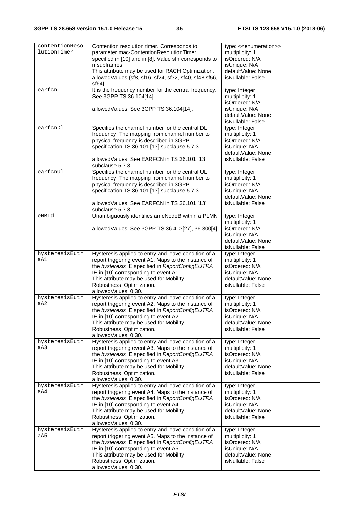| contentionReso<br>lutionTimer | Contention resolution timer. Corresponds to<br>parameter mac-ContentionResolutionTimer<br>specified in [10] and in [8]. Value sfn corresponds to<br>n subframes.<br>This attribute may be used for RACH Optimization.<br>allowedValues: {sf8, sf16, sf24, sf32, sf40, sf48, sf56,<br>sf64               | type: < <enumeration>&gt;<br/>multiplicity: 1<br/>isOrdered: N/A<br/>isUnique: N/A<br/>defaultValue: None<br/>isNullable: False</enumeration> |
|-------------------------------|---------------------------------------------------------------------------------------------------------------------------------------------------------------------------------------------------------------------------------------------------------------------------------------------------------|-----------------------------------------------------------------------------------------------------------------------------------------------|
| earfcn                        | It is the frequency number for the central frequency.<br>See 3GPP TS 36.104[14].<br>allowedValues: See 3GPP TS 36.104[14].                                                                                                                                                                              | type: Integer<br>multiplicity: 1<br>isOrdered: N/A<br>isUnique: N/A<br>defaultValue: None<br>isNullable: False                                |
| earfcnDl                      | Specifies the channel number for the central DL<br>frequency. The mapping from channel number to<br>physical frequency is described in 3GPP<br>specification TS 36.101 [13] subclause 5.7.3.<br>allowedValues: See EARFCN in TS 36.101 [13]<br>subclause 5.7.3                                          | type: Integer<br>multiplicity: 1<br>isOrdered: N/A<br>isUnique: N/A<br>defaultValue: None<br>isNullable: False                                |
| earfcnUl                      | Specifies the channel number for the central UL<br>frequency. The mapping from channel number to<br>physical frequency is described in 3GPP<br>specification TS 36.101 [13] subclause 5.7.3.<br>allowedValues: See EARFCN in TS 36.101 [13]<br>subclause 5.7.3                                          | type: Integer<br>multiplicity: 1<br>isOrdered: N/A<br>isUnique: N/A<br>defaultValue: None<br>isNullable: False                                |
| eNBId                         | Unambiguously identifies an eNodeB within a PLMN<br>allowedValues: See 3GPP TS 36.413[27], 36.300[4]                                                                                                                                                                                                    | type: Integer<br>multiplicity: 1<br>isOrdered: N/A<br>isUnique: N/A<br>defaultValue: None<br>isNullable: False                                |
| hysteresisEutr<br>aA1         | Hysteresis applied to entry and leave condition of a<br>report triggering event A1. Maps to the instance of<br>the hysteresis IE specified in ReportConfigEUTRA<br>IE in [10] corresponding to event A1.<br>This attribute may be used for Mobility<br>Robustness Optimization.<br>allowedValues: 0:30. | type: Integer<br>multiplicity: 1<br>isOrdered: N/A<br>isUnique: N/A<br>defaultValue: None<br>isNullable: False                                |
| hysteresisEutr<br>aA2         | Hysteresis applied to entry and leave condition of a<br>report triggering event A2. Maps to the instance of<br>the hysteresis IE specified in ReportConfigEUTRA<br>IE in [10] corresponding to event A2.<br>This attribute may be used for Mobility<br>Robustness Optimization.<br>allowedValues: 0:30. | type: Integer<br>multiplicity: 1<br>isOrdered: N/A<br>isUnique: N/A<br>defaultValue: None<br>isNullable: False                                |
| hysteresisEutr<br>aA3         | Hysteresis applied to entry and leave condition of a<br>report triggering event A3. Maps to the instance of<br>the hysteresis IE specified in ReportConfigEUTRA<br>IE in [10] corresponding to event A3.<br>This attribute may be used for Mobility<br>Robustness Optimization.<br>allowedValues: 0:30. | type: Integer<br>multiplicity: 1<br>isOrdered: N/A<br>isUnique: N/A<br>defaultValue: None<br>isNullable: False                                |
| hysteresisEutr<br>aA4         | Hysteresis applied to entry and leave condition of a<br>report triggering event A4. Maps to the instance of<br>the hysteresis IE specified in ReportConfigEUTRA<br>IE in [10] corresponding to event A4.<br>This attribute may be used for Mobility<br>Robustness Optimization.<br>allowedValues: 0:30. | type: Integer<br>multiplicity: 1<br>isOrdered: N/A<br>isUnique: N/A<br>defaultValue: None<br>isNullable: False                                |
| hysteresisEutr<br>aA5         | Hysteresis applied to entry and leave condition of a<br>report triggering event A5. Maps to the instance of<br>the hysteresis IE specified in ReportConfigEUTRA<br>IE in [10] corresponding to event A5.<br>This attribute may be used for Mobility<br>Robustness Optimization.<br>allowedValues: 0:30. | type: Integer<br>multiplicity: 1<br>isOrdered: N/A<br>isUnique: N/A<br>defaultValue: None<br>isNullable: False                                |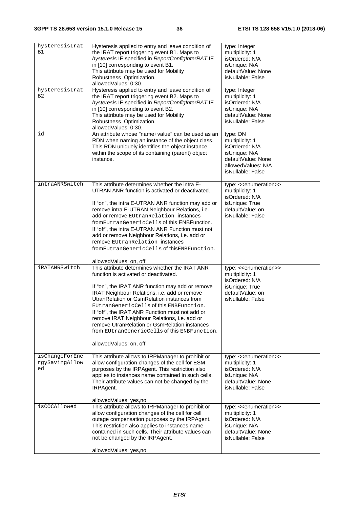| hysteresisIrat<br>B1                   | Hysteresis applied to entry and leave condition of<br>the IRAT report triggering event B1. Maps to<br>hysteresis IE specified in ReportConfigInterRATIE<br>in [10] corresponding to event B1.<br>This attribute may be used for Mobility<br>Robustness Optimization.<br>allowedValues: 0:30.                                                                                                                                                                                                                                   | type: Integer<br>multiplicity: 1<br>isOrdered: N/A<br>isUnique: N/A<br>defaultValue: None<br>isNullable: False                                |
|----------------------------------------|--------------------------------------------------------------------------------------------------------------------------------------------------------------------------------------------------------------------------------------------------------------------------------------------------------------------------------------------------------------------------------------------------------------------------------------------------------------------------------------------------------------------------------|-----------------------------------------------------------------------------------------------------------------------------------------------|
| hysteresisIrat<br>B <sub>2</sub>       | Hysteresis applied to entry and leave condition of<br>the IRAT report triggering event B2. Maps to<br>hysteresis IE specified in ReportConfigInterRAT IE<br>in [10] corresponding to event B2.<br>This attribute may be used for Mobility<br>Robustness Optimization.<br>allowedValues: 0:30.                                                                                                                                                                                                                                  | type: Integer<br>multiplicity: 1<br>isOrdered: N/A<br>isUnique: N/A<br>defaultValue: None<br>isNullable: False                                |
| id                                     | An attribute whose "name+value" can be used as an<br>RDN when naming an instance of the object class.<br>This RDN uniquely identifies the object instance<br>within the scope of its containing (parent) object<br>instance.                                                                                                                                                                                                                                                                                                   | type: DN<br>multiplicity: 1<br>isOrdered: N/A<br>isUnique: N/A<br>defaultValue: None<br>allowedValues: N/A<br>isNullable: False               |
| intraANRSwitch                         | This attribute determines whether the intra E-<br>UTRAN ANR function is activated or deactivated.<br>If "on", the intra E-UTRAN ANR function may add or<br>remove intra E-UTRAN Neighbour Relations, i.e.<br>add or remove EUtranRelation instances<br>from EUtran Generic Cells of this ENB Function.<br>If "off", the intra E-UTRAN ANR Function must not<br>add or remove Neighbour Relations, i.e. add or<br>remove EUtranRelation instances<br>from EU tran Generic Cells of this ENB Function.<br>allowedValues: on, off | type: < <enumeration>&gt;<br/>multiplicity: 1<br/>isOrdered: N/A<br/>isUnique: True<br/>defaultValue: on<br/>isNullable: False</enumeration>  |
| iRATANRSwitch                          | This attribute determines whether the IRAT ANR<br>function is activated or deactivated.<br>If "on", the IRAT ANR function may add or remove<br>IRAT Neighbour Relations, i.e. add or remove<br>UtranRelation or GsmRelation instances from<br>EUtranGenericCells of this ENBFunction.<br>If "off", the IRAT ANR Function must not add or<br>remove IRAT Neighbour Relations, i.e. add or<br>remove UtranRelation or GsmRelation instances<br>from EUtranGenericCells of this ENBFunction.<br>allowedValues: on, off            | type: < <enumeration>&gt;<br/>multiplicity: 1<br/>isOrdered: N/A<br/>isUnique: True<br/>defaultValue: on<br/>isNullable: False</enumeration>  |
| isChangeForEne<br>rqySavinqAllow<br>ed | This attribute allows to IRPManager to prohibit or<br>allow configuration changes of the cell for ESM<br>purposes by the IRPAgent. This restriction also<br>applies to instances name contained in such cells.<br>Their attribute values can not be changed by the<br>IRPAgent.                                                                                                                                                                                                                                                | type: < <enumeration>&gt;<br/>multiplicity: 1<br/>isOrdered: N/A<br/>isUnique: N/A<br/>defaultValue: None<br/>isNullable: False</enumeration> |
| isCOCAllowed                           | allowedValues: yes,no<br>This attribute allows to IRPManager to prohibit or<br>allow configuration changes of the cell for cell<br>outage compensation purposes by the IRPAgent.<br>This restriction also applies to instances name<br>contained in such cells. Their attribute values can<br>not be changed by the IRPAgent.<br>allowedValues: yes,no                                                                                                                                                                         | type: < <enumeration>&gt;<br/>multiplicity: 1<br/>isOrdered: N/A<br/>isUnique: N/A<br/>defaultValue: None<br/>isNullable: False</enumeration> |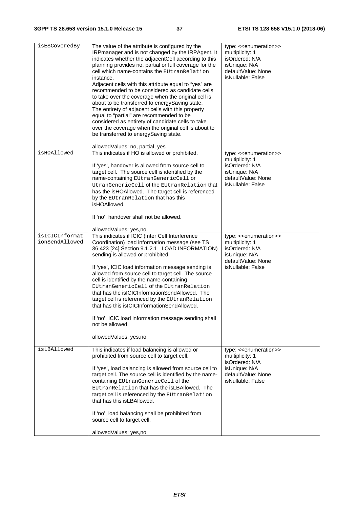| isESCoveredBy                    | The value of the attribute is configured by the<br>IRPmanager and is not changed by the IRPAgent. It<br>indicates whether the adjacentCell according to this<br>planning provides no, partial or full coverage for the<br>cell which name-contains the EUtranRelation<br>instance.<br>Adjacent cells with this attribute equal to "yes" are<br>recommended to be considered as candidate cells<br>to take over the coverage when the original cell is<br>about to be transferred to energySaving state.<br>The entirety of adjacent cells with this property<br>equal to "partial" are recommended to be<br>considered as entirety of candidate cells to take<br>over the coverage when the original cell is about to<br>be transferred to energySaving state. | type: < <enumeration>&gt;<br/>multiplicity: 1<br/>isOrdered: N/A<br/>isUnique: N/A<br/>defaultValue: None<br/>isNullable: False</enumeration> |
|----------------------------------|----------------------------------------------------------------------------------------------------------------------------------------------------------------------------------------------------------------------------------------------------------------------------------------------------------------------------------------------------------------------------------------------------------------------------------------------------------------------------------------------------------------------------------------------------------------------------------------------------------------------------------------------------------------------------------------------------------------------------------------------------------------|-----------------------------------------------------------------------------------------------------------------------------------------------|
| isHOAllowed                      | allowedValues: no, partial, yes<br>This indicates if HO is allowed or prohibited.                                                                                                                                                                                                                                                                                                                                                                                                                                                                                                                                                                                                                                                                              | type: << enumeration>>                                                                                                                        |
|                                  | If 'yes', handover is allowed from source cell to<br>target cell. The source cell is identified by the<br>name-containing EUtranGenericCell or<br>UtranGenericCell of the EUtranRelation that<br>has the isHOAllowed. The target cell is referenced<br>by the EUtranRelation that has this<br>isHOAllowed.                                                                                                                                                                                                                                                                                                                                                                                                                                                     | multiplicity: 1<br>isOrdered: N/A<br>isUnique: N/A<br>defaultValue: None<br>isNullable: False                                                 |
|                                  | If 'no', handover shall not be allowed.                                                                                                                                                                                                                                                                                                                                                                                                                                                                                                                                                                                                                                                                                                                        |                                                                                                                                               |
|                                  | allowedValues: yes,no                                                                                                                                                                                                                                                                                                                                                                                                                                                                                                                                                                                                                                                                                                                                          |                                                                                                                                               |
| isICICInformat<br>ionSendAllowed | This indicates if ICIC (Inter Cell Interference<br>Coordination) load information message (see TS<br>36.423 [24] Section 9.1.2.1 LOAD INFORMATION)<br>sending is allowed or prohibited.<br>If 'yes', ICIC load information message sending is<br>allowed from source cell to target cell. The source<br>cell is identified by the name-containing<br>EUtranGenericCell of the EUtranRelation<br>that has the isICICInformationSendAllowed. The<br>target cell is referenced by the EUtranRelation<br>that has this isICICInformationSendAllowed.<br>If 'no', ICIC load information message sending shall<br>not be allowed.<br>allowedValues: yes,no                                                                                                           | type: < <enumeration>&gt;<br/>multiplicity: 1<br/>isOrdered: N/A<br/>isUnique: N/A<br/>defaultValue: None<br/>isNullable: False</enumeration> |
| isLBAllowed                      | This indicates if load balancing is allowed or<br>prohibited from source cell to target cell.<br>If 'yes', load balancing is allowed from source cell to<br>target cell. The source cell is identified by the name-<br>containing EUtranGenericCell of the<br>EUtranRelation that has the isLBAllowed. The<br>target cell is referenced by the EUtranRelation<br>that has this isLBAllowed.<br>If 'no', load balancing shall be prohibited from<br>source cell to target cell.<br>allowedValues: yes,no                                                                                                                                                                                                                                                        | type: < <enumeration>&gt;<br/>multiplicity: 1<br/>isOrdered: N/A<br/>isUnique: N/A<br/>defaultValue: None<br/>isNullable: False</enumeration> |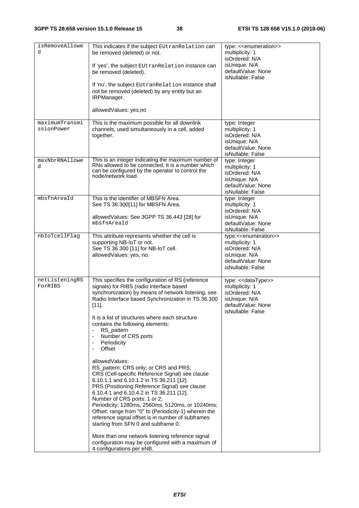| isRemoveAllowe<br>d          | This indicates if the subject EUtranRelation can<br>be removed (deleted) or not.<br>If 'yes', the subject EUtranRelation instance can<br>be removed (deleted).<br>If 'no', the subject EUtranRelation instance shall<br>not be removed (deleted) by any entity but an<br>IRPManager.<br>allowedValues: yes,no                                                                                                                                                                                                                                                                                                                                                                                                                                                                                                                                                                                                                                                                                                                                 | type: < <enumeration>&gt;<br/>multiplicity: 1<br/>isOrdered: N/A<br/>isUnique: N/A<br/>defaultValue: None<br/>isNullable: False</enumeration> |
|------------------------------|-----------------------------------------------------------------------------------------------------------------------------------------------------------------------------------------------------------------------------------------------------------------------------------------------------------------------------------------------------------------------------------------------------------------------------------------------------------------------------------------------------------------------------------------------------------------------------------------------------------------------------------------------------------------------------------------------------------------------------------------------------------------------------------------------------------------------------------------------------------------------------------------------------------------------------------------------------------------------------------------------------------------------------------------------|-----------------------------------------------------------------------------------------------------------------------------------------------|
| maximumTransmi<br>ssionPower | This is the maximum possible for all downlink<br>channels, used simultaneously in a cell, added<br>together.                                                                                                                                                                                                                                                                                                                                                                                                                                                                                                                                                                                                                                                                                                                                                                                                                                                                                                                                  | type: Integer<br>multiplicity: 1<br>isOrdered: N/A<br>isUnique: N/A<br>defaultValue: None<br>isNullable: False                                |
| maxNbrRNAllowe<br>d          | This is an integer indicating the maximum number of<br>RNs allowed to be connected. It is a number which<br>can be configured by the operator to control the<br>node/network load.                                                                                                                                                                                                                                                                                                                                                                                                                                                                                                                                                                                                                                                                                                                                                                                                                                                            | type: Integer<br>multiplicity: 1<br>isOrdered: N/A<br>isUnique: N/A<br>defaultValue: None<br>isNullable: False                                |
| mbsfnAreaId                  | This is the identifier of MBSFN Area.<br>See TS 36.300[11] for MBSFN Area.<br>allowedValues: See 3GPP TS 36.443 [28] for<br>mbsfnAreaId                                                                                                                                                                                                                                                                                                                                                                                                                                                                                                                                                                                                                                                                                                                                                                                                                                                                                                       | type: Integer<br>multiplicity: 1<br>isOrdered: N/A<br>isUnique: N/A<br>defaultValue: None<br>isNullable: False                                |
| nbIoTcellFlag                | This attribute represents whether the cell is<br>supporting NB-IoT or not.<br>See TS 36.300 [11] for NB-IoT cell.<br>allowedValues: yes, no.                                                                                                                                                                                                                                                                                                                                                                                                                                                                                                                                                                                                                                                                                                                                                                                                                                                                                                  | type:< <enumeration>&gt;<br/>multiplicity: 1<br/>isOrdered: N/A<br/>isUnique: N/A<br/>defaultValue: None<br/>isNullable: False</enumeration>  |
| netListeningRS<br>ForRIBS    | This specifies the configuration of RS (reference<br>signals) for RIBS (radio interface based<br>synchronization) by means of network listening, see<br>Radio Interface based Synchronization in TS 36.300<br>$[11]$ .<br>It is a list of structures where each structure<br>contains the following elements:<br>RS_pattern<br>Number of CRS ports<br>Periodicity<br>$\overline{\phantom{a}}$<br>Offset<br>allowedValues:<br>RS_pattern: CRS only; or CRS and PRS;<br>CRS (Cell-specific Reference Signal) see clause<br>6.10.1.1 and 6.10.1.2 in TS 36.211 [12].<br>PRS (Positioning Reference Signal) see clause<br>6.10.4.1 and 6.10.4.2 in TS 36.211 [12].<br>Number of CRS ports: 1 or 2;<br>Periodicity: 1280ms, 2560ms, 5120ms, or 10240ms;<br>Offset: range from "0" to (Periodicity-1) wherein the<br>reference signal offset is in number of subframes<br>starting from SFN 0 and subframe 0.<br>More than one network listening reference signal<br>configuration may be configured with a maximum of<br>4 configurations per eNB. | type: << dataType>><br>multiplicity: 1<br>isOrdered: N/A<br>isUnique: N/A<br>defaultValue: None<br>isNullable: False                          |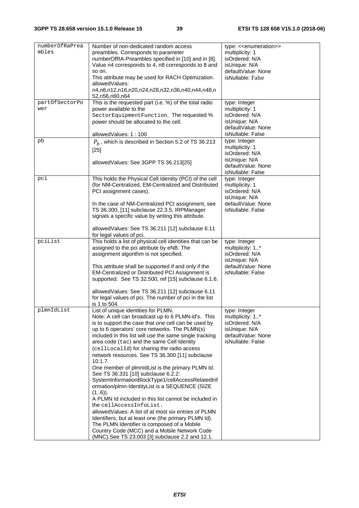| numberOfRaPrea<br>mbles | Number of non-dedicated random access<br>preambles. Corresponds to parameter<br>numberOfRA-Preambles specified in [10] and in [8].<br>Value n4 corresponds to 4, n8 corresponds to 8 and<br>so on.<br>This attribute may be used for RACH Optimization.<br>allowedValues:<br>n4,n8,n12,n16,n20,n24,n28,n32,n36,n40,n44,n48,n<br>52, n56, n60, n64                                                                                                                                                                                                                                                                                                                                                                                                                                                                                                                                                                                                                                          | type: < <enumeration>&gt;<br/>multiplicity: 1<br/>isOrdered: N/A<br/>isUnique: N/A<br/>defaultValue: None<br/>isNullable: False</enumeration> |
|-------------------------|--------------------------------------------------------------------------------------------------------------------------------------------------------------------------------------------------------------------------------------------------------------------------------------------------------------------------------------------------------------------------------------------------------------------------------------------------------------------------------------------------------------------------------------------------------------------------------------------------------------------------------------------------------------------------------------------------------------------------------------------------------------------------------------------------------------------------------------------------------------------------------------------------------------------------------------------------------------------------------------------|-----------------------------------------------------------------------------------------------------------------------------------------------|
| partOfSectorPo<br>wer   | This is the requested part (i.e. %) of the total radio<br>power available to the<br>SectorEquipmentFunction. The requested %<br>power should be allocated to the cell.<br>allowedValues: 1:100                                                                                                                                                                                                                                                                                                                                                                                                                                                                                                                                                                                                                                                                                                                                                                                             | type: Integer<br>multiplicity: 1<br>isOrdered: N/A<br>isUnique: N/A<br>defaultValue: None<br>isNullable: False                                |
| pb                      | $P_B$ , which is described in Section 5.2 of TS 36.213<br>$[25]$<br>allowedValues: See 3GPP TS 36.213[25]                                                                                                                                                                                                                                                                                                                                                                                                                                                                                                                                                                                                                                                                                                                                                                                                                                                                                  | type: Integer<br>multiplicity: 1<br>isOrdered: N/A<br>isUnique: N/A<br>defaultValue: None<br>isNullable: False                                |
| pci                     | This holds the Physical Cell Identity (PCI) of the cell<br>(for NM-Centralized, EM-Centralized and Distributed<br>PCI assignment cases).<br>In the case of NM-Centralized PCI assignment, see<br>TS 36.300, [11] subclause 22.3.5, IRPManager<br>signals a specific value by writing this attribute.                                                                                                                                                                                                                                                                                                                                                                                                                                                                                                                                                                                                                                                                                       | type: Integer<br>multiplicity: 1<br>isOrdered: N/A<br>isUnique: N/A<br>defaultValue: None<br>isNullable: False                                |
| pciList                 | allowedValues: See TS 36.211 [12] subclause 6.11<br>for legal values of pci.<br>This holds a list of physical cell identities that can be<br>assigned to the pci attribute by eNB. The<br>assignment algorithm is not specified.<br>This attribute shall be supported if and only if the<br>EM-Centralized or Distributed PCI Assignment is<br>supported. See TS 32.500, ref [15] subclause 6.1.6.<br>allowedValues: See TS 36.211 [12] subclause 6.11<br>for legal values of pci. The number of pci in the list<br>is 1 to 504.                                                                                                                                                                                                                                                                                                                                                                                                                                                           | type: Integer<br>multiplicity: 1*<br>isOrdered: N/A<br>isUnique: N/A<br>defaultValue: None<br>isNullable: False                               |
| plmnIdList              | List of unique identities for PLMN.<br>Note: A cell can broadcast up to 6 PLMN-id's. This<br>is to support the case that one cell can be used by<br>up to 6 operators' core networks. The PLMN(s)<br>included in this list will use the same single tracking<br>area code (tac) and the same Cell Identity<br>(cellLocalId) for sharing the radio access<br>network resources. See TS 36.300 [11] subclause<br>10.1.7.<br>One member of plmnldList is the primary PLMN Id.<br>See TS 36.331 [10] subclause 6.2.2:<br>SystemInformationBlockType1/cellAccessRelatedInf<br>ormation/plmn-IdentityList is a SEQUENCE (SIZE<br>$(16)$ .<br>A PLMN Id included in this list cannot be included in<br>the cellAccessInfoList.<br>allowed Values: A list of at most six entries of PLMN<br>Identifiers, but at least one (the primary PLMN Id).<br>The PLMN Identifier is composed of a Mobile<br>Country Code (MCC) and a Mobile Network Code<br>(MNC).See TS 23.003 [3] subclause 2.2 and 12.1. | type: Integer<br>multiplicity: 1*<br>isOrdered: N/A<br>isUnique: N/A<br>defaultValue: None<br>isNullable: False                               |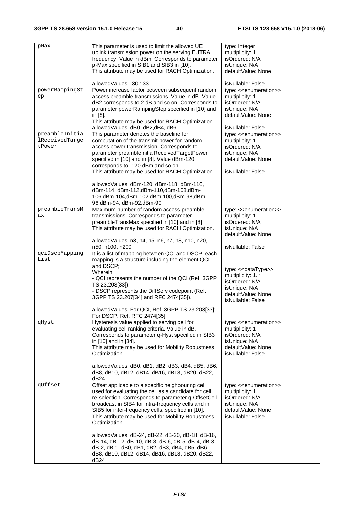| pMax           | This parameter is used to limit the allowed UE                                                      | type: Integer                           |
|----------------|-----------------------------------------------------------------------------------------------------|-----------------------------------------|
|                | uplink transmission power on the serving EUTRA                                                      | multiplicity: 1                         |
|                | frequency. Value in dBm. Corresponds to parameter                                                   | isOrdered: N/A                          |
|                | p-Max specified in SIB1 and SIB3 in [10].                                                           | isUnique: N/A                           |
|                | This attribute may be used for RACH Optimization.                                                   | defaultValue: None                      |
|                | allowedValues: -30: 33                                                                              | isNullable: False                       |
| powerRampingSt | Power increase factor between subsequent random                                                     | type: < <enumeration>&gt;</enumeration> |
| ep             | access preamble transmissions. Value in dB. Value                                                   | multiplicity: 1                         |
|                | dB2 corresponds to 2 dB and so on. Corresponds to                                                   | isOrdered: N/A                          |
|                | parameter powerRampingStep specified in [10] and<br>in [8].                                         | isUnique: N/A<br>defaultValue: None     |
|                | This attribute may be used for RACH Optimization.                                                   |                                         |
|                | allowedValues: dB0, dB2,dB4, dB6                                                                    | isNullable: False                       |
| preambleInitia | This parameter denotes the baseline for                                                             | type: < <enumeration>&gt;</enumeration> |
| lReceivedTarge | computation of the transmit power for random                                                        | multiplicity: 1                         |
| tPower         | access power transmission. Corresponds to                                                           | isOrdered: N/A                          |
|                | parameter preambleInitialReceivedTargetPower                                                        | isUnique: N/A                           |
|                | specified in [10] and in [8]. Value dBm-120<br>corresponds to -120 dBm and so on.                   | defaultValue: None                      |
|                | This attribute may be used for RACH Optimization.                                                   | isNullable: False                       |
|                |                                                                                                     |                                         |
|                | allowedValues: dBm-120, dBm-118, dBm-116,                                                           |                                         |
|                | dBm-114, dBm-112,dBm-110,dBm-108,dBm-                                                               |                                         |
|                | 106,dBm-104,dBm-102,dBm-100,dBm-98,dBm-                                                             |                                         |
|                | 96,dBm-94, dBm-92,dBm-90                                                                            |                                         |
| preambleTransM | Maximum number of random access preamble                                                            | type: < <enumeration>&gt;</enumeration> |
| ax             | transmissions. Corresponds to parameter                                                             | multiplicity: 1<br>isOrdered: N/A       |
|                | preambleTransMax specified in [10] and in [8].<br>This attribute may be used for RACH Optimization. | isUnique: N/A                           |
|                |                                                                                                     | defaultValue: None                      |
|                | allowedValues: n3, n4, n5, n6, n7, n8, n10, n20,                                                    |                                         |
|                | n50, n100, n200                                                                                     | isNullable: False                       |
| qciDscpMapping | It is a list of mapping between QCI and DSCP, each                                                  |                                         |
| List           | mapping is a structure including the element QCI                                                    |                                         |
|                | and DSCP;                                                                                           | type: << dataType>>                     |
|                | Wherein                                                                                             | multiplicity: 1*                        |
|                | - QCI represents the number of the QCI (Ref. 3GPP<br>TS 23.203[33]);                                | isOrdered: N/A                          |
|                | - DSCP represents the DiffServ codepoint (Ref.                                                      | isUnique: N/A                           |
|                | 3GPP TS 23.207[34] and RFC 2474[35]).                                                               | defaultValue: None                      |
|                |                                                                                                     | isNullable: False                       |
|                | allowedValues: For QCI, Ref. 3GPP TS 23.203[33];                                                    |                                         |
| qHyst          | For DSCP, Ref. RFC 2474[35]<br>Hysteresis value applied to serving cell for                         | type: < <enumeration>&gt;</enumeration> |
|                | evaluating cell ranking criteria. Value in dB.                                                      | multiplicity: 1                         |
|                | Corresponds to parameter q-Hyst specified in SIB3                                                   | isOrdered: N/A                          |
|                | in [10] and in [34].                                                                                | isUnique: N/A                           |
|                | This attribute may be used for Mobility Robustness                                                  | defaultValue: None                      |
|                | Optimization.                                                                                       | isNullable: False                       |
|                |                                                                                                     |                                         |
|                | allowedValues: dB0, dB1, dB2, dB3, dB4, dB5, dB6,                                                   |                                         |
|                | dB8, dB10, dB12, dB14, dB16, dB18, dB20, dB22,<br>dB24                                              |                                         |
| qOffset        | Offset applicable to a specific neighbouring cell                                                   | type: < <enumeration>&gt;</enumeration> |
|                | used for evaluating the cell as a candidate for cell                                                | multiplicity: 1                         |
|                | re-selection. Corresponds to parameter q-OffsetCell                                                 | isOrdered: N/A                          |
|                | broadcast in SIB4 for intra-frequency cells and in                                                  | isUnique: N/A                           |
|                | SIB5 for inter-frequency cells, specified in [10].                                                  | defaultValue: None                      |
|                | This attribute may be used for Mobility Robustness                                                  | isNullable: False                       |
|                | Optimization.                                                                                       |                                         |
|                | allowedValues: dB-24, dB-22, dB-20, dB-18, dB-16,                                                   |                                         |
|                | dB-14, dB-12, dB-10, dB-8, dB-6, dB-5, dB-4, dB-3,                                                  |                                         |
|                | dB-2, dB-1, dB0, dB1, dB2, dB3, dB4, dB5, dB6,                                                      |                                         |
|                | dB8, dB10, dB12, dB14, dB16, dB18, dB20, dB22,                                                      |                                         |
|                | dB24                                                                                                |                                         |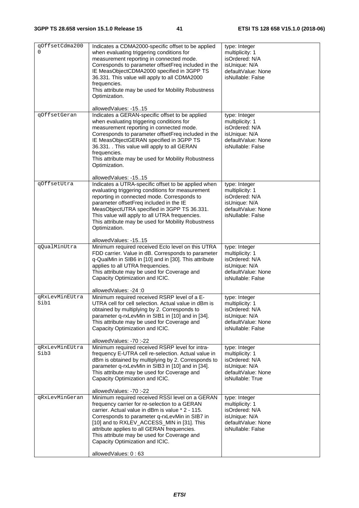| qOffsetCdma200<br><sup>0</sup> | Indicates a CDMA2000-specific offset to be applied<br>when evaluating triggering conditions for<br>measurement reporting in connected mode.<br>Corresponds to parameter offsetFreq included in the<br>IE MeasObjectCDMA2000 specified in 3GPP TS<br>36.331. This value will apply to all CDMA2000<br>frequencies.<br>This attribute may be used for Mobility Robustness<br>Optimization.                     | type: Integer<br>multiplicity: 1<br>isOrdered: N/A<br>isUnique: N/A<br>defaultValue: None<br>isNullable: False |
|--------------------------------|--------------------------------------------------------------------------------------------------------------------------------------------------------------------------------------------------------------------------------------------------------------------------------------------------------------------------------------------------------------------------------------------------------------|----------------------------------------------------------------------------------------------------------------|
|                                | allowedValues: -1515                                                                                                                                                                                                                                                                                                                                                                                         |                                                                                                                |
| qOffsetGeran                   | Indicates a GERAN-specific offset to be applied<br>when evaluating triggering conditions for<br>measurement reporting in connected mode.<br>Corresponds to parameter offsetFreq included in the<br>IE MeasObjectGERAN specified in 3GPP TS<br>36.331. . This value will apply to all GERAN<br>frequencies.<br>This attribute may be used for Mobility Robustness<br>Optimization.                            | type: Integer<br>multiplicity: 1<br>isOrdered: N/A<br>isUnique: N/A<br>defaultValue: None<br>isNullable: False |
|                                | allowedValues: -1515                                                                                                                                                                                                                                                                                                                                                                                         |                                                                                                                |
| qOffsetUtra                    | Indicates a UTRA-specific offset to be applied when<br>evaluating triggering conditions for measurement<br>reporting in connected mode. Corresponds to<br>parameter offsetFreq included in the IE<br>MeasObjectUTRA specified in 3GPP TS 36.331.<br>This value will apply to all UTRA frequencies.<br>This attribute may be used for Mobility Robustness<br>Optimization.                                    | type: Integer<br>multiplicity: 1<br>isOrdered: N/A<br>isUnique: N/A<br>defaultValue: None<br>isNullable: False |
|                                | allowedValues: -1515                                                                                                                                                                                                                                                                                                                                                                                         |                                                                                                                |
| qQualMinUtra                   | Minimum required received Eclo level on this UTRA<br>FDD carrier. Value in dB. Corresponds to parameter<br>q-QualMin in SIB6 in [10] and in [30]. This attribute<br>applies to all UTRA frequencies.<br>This attribute may be used for Coverage and<br>Capacity Optimization and ICIC.<br>allowedValues: -24 :0                                                                                              | type: Integer<br>multiplicity: 1<br>isOrdered: N/A<br>isUnique: N/A<br>defaultValue: None<br>isNullable: False |
| qRxLevMinEUtra                 | Minimum required received RSRP level of a E-                                                                                                                                                                                                                                                                                                                                                                 | type: Integer                                                                                                  |
| Sib1                           | UTRA cell for cell selection. Actual value in dBm is<br>obtained by multiplying by 2. Corresponds to<br>parameter q-rxLevMin in SIB1 in [10] and in [34].<br>This attribute may be used for Coverage and<br>Capacity Optimization and ICIC.<br>allowedValues: -70 :-22                                                                                                                                       | multiplicity: 1<br>isOrdered: N/A<br>isUnique: N/A<br>defaultValue: None<br>isNullable: False                  |
| qRxLevMinEUtra<br>Sib3         | Minimum required received RSRP level for intra-<br>frequency E-UTRA cell re-selection. Actual value in<br>dBm is obtained by multiplying by 2. Corresponds to<br>parameter q-rxLevMin in SIB3 in [10] and in [34].<br>This attribute may be used for Coverage and<br>Capacity Optimization and ICIC.<br>allowedValues: -70 :-22                                                                              | type: Integer<br>multiplicity: 1<br>isOrdered: N/A<br>isUnique: N/A<br>defaultValue: None<br>isNullable: True  |
| qRxLevMinGeran                 | Minimum required received RSSI level on a GERAN<br>frequency carrier for re-selection to a GERAN<br>carrier. Actual value in dBm is value * 2 - 115.<br>Corresponds to parameter q-rxLevMin in SIB7 in<br>[10] and to RXLEV_ACCESS_MIN in [31]. This<br>attribute applies to all GERAN frequencies.<br>This attribute may be used for Coverage and<br>Capacity Optimization and ICIC.<br>allowedValues: 0:63 | type: Integer<br>multiplicity: 1<br>isOrdered: N/A<br>isUnique: N/A<br>defaultValue: None<br>isNullable: False |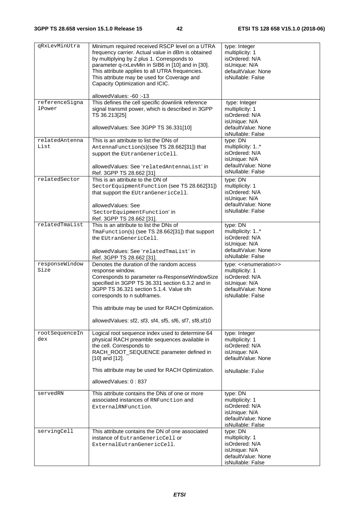| qRxLevMinUtra                   | Minimum required received RSCP level on a UTRA<br>frequency carrier. Actual value in dBm is obtained<br>by multiplying by 2 plus 1. Corresponds to<br>parameter q-rxLevMin in SIB6 in [10] and in [30].<br>This attribute applies to all UTRA frequencies.<br>This attribute may be used for Coverage and<br>Capacity Optimization and ICIC. | type: Integer<br>multiplicity: 1<br>isOrdered: N/A<br>isUnique: N/A<br>defaultValue: None<br>isNullable: False |
|---------------------------------|----------------------------------------------------------------------------------------------------------------------------------------------------------------------------------------------------------------------------------------------------------------------------------------------------------------------------------------------|----------------------------------------------------------------------------------------------------------------|
|                                 | allowedValues: -60:-13                                                                                                                                                                                                                                                                                                                       |                                                                                                                |
| referenceSigna<br><b>lPower</b> | This defines the cell specific downlink reference<br>signal transmit power, which is described in 3GPP<br>TS 36.213[25]<br>allowedValues: See 3GPP TS 36.331[10]                                                                                                                                                                             | type: Integer<br>multiplicity: 1<br>isOrdered: N/A<br>isUnique: N/A<br>defaultValue: None<br>isNullable: False |
| relatedAntenna                  | This is an attribute to list the DNs of                                                                                                                                                                                                                                                                                                      | type: DN                                                                                                       |
| List                            | AntennaFunction(s)(see TS 28.662[31]) that                                                                                                                                                                                                                                                                                                   | multiplicity: 1*                                                                                               |
|                                 | support the EUtranGenericCell.                                                                                                                                                                                                                                                                                                               | isOrdered: N/A                                                                                                 |
|                                 |                                                                                                                                                                                                                                                                                                                                              | isUnique: N/A<br>defaultValue: None                                                                            |
|                                 | allowedValues: See 'relatedAntennaList' in<br>Ref. 3GPP TS 28.662 [31]                                                                                                                                                                                                                                                                       | isNullable: False                                                                                              |
| relatedSector                   | This is an attribute to the DN of                                                                                                                                                                                                                                                                                                            | type: DN                                                                                                       |
|                                 | SectorEquipmentFunction (see TS 28.662[31])                                                                                                                                                                                                                                                                                                  | multiplicity: 1                                                                                                |
|                                 | that support the EUtranGenericCell.                                                                                                                                                                                                                                                                                                          | isOrdered: N/A                                                                                                 |
|                                 |                                                                                                                                                                                                                                                                                                                                              | isUnique: N/A<br>defaultValue: None                                                                            |
|                                 | allowedValues: See                                                                                                                                                                                                                                                                                                                           | isNullable: False                                                                                              |
|                                 | 'SectorEquipmentFunction' in<br>Ref. 3GPP TS 28.662 [31].                                                                                                                                                                                                                                                                                    |                                                                                                                |
| relatedTmaList                  | This is an attribute to list the DNs of                                                                                                                                                                                                                                                                                                      | type: DN                                                                                                       |
|                                 | TmaFunction(s) (see TS 28.662[31]) that support                                                                                                                                                                                                                                                                                              | multiplicity: 1*                                                                                               |
|                                 | the EUtranGenericCell.                                                                                                                                                                                                                                                                                                                       | isOrdered: N/A                                                                                                 |
|                                 |                                                                                                                                                                                                                                                                                                                                              | isUnique: N/A                                                                                                  |
|                                 | allowedValues: See 'relatedTmaList' in<br>Ref. 3GPP TS 28.662 [31].                                                                                                                                                                                                                                                                          | defaultValue: None<br>isNullable: False                                                                        |
| responseWindow                  | Denotes the duration of the random access                                                                                                                                                                                                                                                                                                    | type: < <enumeration>&gt;</enumeration>                                                                        |
| Size                            | response window.                                                                                                                                                                                                                                                                                                                             | multiplicity: 1                                                                                                |
|                                 | Corresponds to parameter ra-ResponseWindowSize                                                                                                                                                                                                                                                                                               | isOrdered: N/A                                                                                                 |
|                                 | specified in 3GPP TS 36.331 section 6.3.2 and in<br>3GPP TS 36.321 section 5.1.4. Value sfn                                                                                                                                                                                                                                                  | isUnique: N/A                                                                                                  |
|                                 | corresponds to n subframes.                                                                                                                                                                                                                                                                                                                  | defaultValue: None<br>isNullable: False                                                                        |
|                                 | This attribute may be used for RACH Optimization.                                                                                                                                                                                                                                                                                            |                                                                                                                |
|                                 | allowedValues: sf2, sf3, sf4, sf5, sf6, sf7, sf8, sf10                                                                                                                                                                                                                                                                                       |                                                                                                                |
|                                 |                                                                                                                                                                                                                                                                                                                                              |                                                                                                                |
| rootSequenceIn                  | Logical root sequence index used to determine 64                                                                                                                                                                                                                                                                                             | type: Integer                                                                                                  |
| dex                             | physical RACH preamble sequences available in<br>the cell. Corresponds to                                                                                                                                                                                                                                                                    | multiplicity: 1<br>isOrdered: N/A                                                                              |
|                                 | RACH_ROOT_SEQUENCE parameter defined in                                                                                                                                                                                                                                                                                                      | isUnique: N/A                                                                                                  |
|                                 | $[10]$ and $[12]$ .                                                                                                                                                                                                                                                                                                                          | defaultValue: None                                                                                             |
|                                 | This attribute may be used for RACH Optimization.                                                                                                                                                                                                                                                                                            | isNullable: False                                                                                              |
|                                 | allowedValues: 0:837                                                                                                                                                                                                                                                                                                                         |                                                                                                                |
| servedRN                        | This attribute contains the DNs of one or more                                                                                                                                                                                                                                                                                               | type: DN                                                                                                       |
|                                 | associated instances of RNFunction and                                                                                                                                                                                                                                                                                                       | multiplicity: 1                                                                                                |
|                                 | ExternalRNFunction.                                                                                                                                                                                                                                                                                                                          | isOrdered: N/A                                                                                                 |
|                                 |                                                                                                                                                                                                                                                                                                                                              | isUnique: N/A<br>defaultValue: None                                                                            |
|                                 |                                                                                                                                                                                                                                                                                                                                              | isNullable: False                                                                                              |
| servingCell                     | This attribute contains the DN of one associated                                                                                                                                                                                                                                                                                             | type: DN                                                                                                       |
|                                 | instance of EutranGenericCell or                                                                                                                                                                                                                                                                                                             | multiplicity: 1                                                                                                |
|                                 | ExternalEutranGenericCell.                                                                                                                                                                                                                                                                                                                   | isOrdered: N/A                                                                                                 |
|                                 |                                                                                                                                                                                                                                                                                                                                              | isUnique: N/A<br>defaultValue: None                                                                            |
|                                 |                                                                                                                                                                                                                                                                                                                                              | isNullable: False                                                                                              |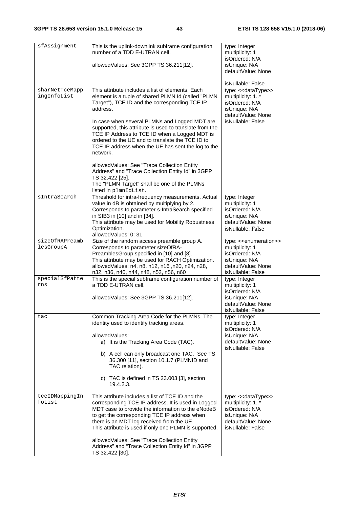| sfAssignment                  | This is the uplink-downlink subframe configuration<br>number of a TDD E-UTRAN cell.                                                                                                                                                                                                                               | type: Integer<br>multiplicity: 1                                                                                                              |
|-------------------------------|-------------------------------------------------------------------------------------------------------------------------------------------------------------------------------------------------------------------------------------------------------------------------------------------------------------------|-----------------------------------------------------------------------------------------------------------------------------------------------|
|                               | allowedValues: See 3GPP TS 36.211[12].                                                                                                                                                                                                                                                                            | isOrdered: N/A<br>isUnique: N/A<br>defaultValue: None                                                                                         |
|                               |                                                                                                                                                                                                                                                                                                                   | isNullable: False                                                                                                                             |
| sharNetTceMapp<br>ingInfoList | This attribute includes a list of elements. Each<br>element is a tuple of shared PLMN Id (called "PLMN<br>Target"), TCE ID and the corresponding TCE IP<br>address.                                                                                                                                               | type: << dataType>><br>multiplicity: 1*<br>isOrdered: N/A<br>isUnique: N/A<br>defaultValue: None                                              |
|                               | In case when several PLMNs and Logged MDT are<br>supported, this attribute is used to translate from the<br>TCE IP Address to TCE ID when a Logged MDT is<br>ordered to the UE and to translate the TCE ID to<br>TCE IP address when the UE has sent the log to the<br>network.                                   | isNullable: False                                                                                                                             |
|                               | allowedValues: See "Trace Collection Entity<br>Address" and "Trace Collection Entity Id" in 3GPP<br>TS 32.422 [25].<br>The "PLMN Target" shall be one of the PLMNs<br>listed in plmnIdList.                                                                                                                       |                                                                                                                                               |
| sIntraSearch                  | Threshold for intra-frequency measurements. Actual<br>value in dB is obtained by multiplying by 2.<br>Corresponds to parameter s-IntraSearch specified<br>in SIB3 in [10] and in [34].<br>This attribute may be used for Mobility Robustness<br>Optimization.<br>allowedValues: 0:31                              | type: Integer<br>multiplicity: 1<br>isOrdered: N/A<br>isUnique: N/A<br>defaultValue: None<br>isNullable: False                                |
| sizeOfRAPreamb<br>lesGroupA   | Size of the random access preamble group A.<br>Corresponds to parameter sizeOfRA-<br>PreamblesGroup specified in [10] and [8].<br>This attribute may be used for RACH Optimization.<br>allowedValues: n4, n8, n12, n16, n20, n24, n28,<br>n32, n36, n40, n44, n48, n52, n56, n60                                  | type: < <enumeration>&gt;<br/>multiplicity: 1<br/>isOrdered: N/A<br/>isUnique: N/A<br/>defaultValue: None<br/>isNullable: False</enumeration> |
| specialSfPatte<br>rns         | This is the special subframe configuration number of<br>a TDD E-UTRAN cell.                                                                                                                                                                                                                                       | type: Integer<br>multiplicity: 1<br>isOrdered: N/A                                                                                            |
|                               | allowedValues: See 3GPP TS 36.211[12].                                                                                                                                                                                                                                                                            | isUnique: N/A<br>defaultValue: None<br>isNullable: False                                                                                      |
| tac                           | Common Tracking Area Code for the PLMNs. The<br>identity used to identify tracking areas.<br>allowedValues:<br>a) It is the Tracking Area Code (TAC).                                                                                                                                                             | type: Integer<br>multiplicity: 1<br>isOrdered: N/A<br>isUnique: N/A<br>defaultValue: None                                                     |
|                               | b) A cell can only broadcast one TAC. See TS<br>36.300 [11], section 10.1.7 (PLMNID and<br>TAC relation).                                                                                                                                                                                                         | isNullable: False                                                                                                                             |
|                               | c) TAC is defined in TS 23.003 [3], section<br>19.4.2.3.                                                                                                                                                                                                                                                          |                                                                                                                                               |
| tceIDMappingIn<br>foList      | This attribute includes a list of TCE ID and the<br>corresponding TCE IP address. It is used in Logged<br>MDT case to provide the information to the eNodeB<br>to get the corresponding TCE IP address when<br>there is an MDT log received from the UE.<br>This attribute is used if only one PLMN is supported. | type: << dataType>><br>multiplicity: 1*<br>isOrdered: N/A<br>isUnique: N/A<br>defaultValue: None<br>isNullable: False                         |
|                               | allowedValues: See "Trace Collection Entity<br>Address" and "Trace Collection Entity Id" in 3GPP<br>TS 32.422 [30].                                                                                                                                                                                               |                                                                                                                                               |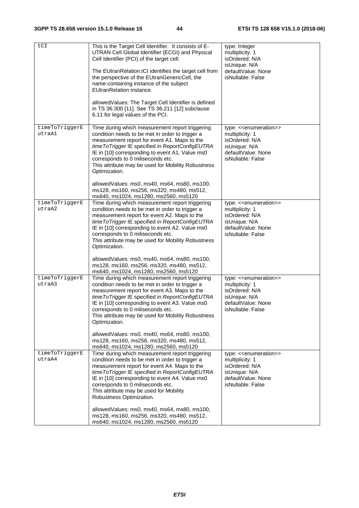| tCI                      | This is the Target Cell Identifier. It consists of E-<br>UTRAN Cell Global Identifier (ECGI) and Physical<br>Cell Identifier (PCI) of the target cell.                                                                                                                                                                                                                 | type: Integer<br>multiplicity: 1<br>isOrdered: N/A                                                                                            |
|--------------------------|------------------------------------------------------------------------------------------------------------------------------------------------------------------------------------------------------------------------------------------------------------------------------------------------------------------------------------------------------------------------|-----------------------------------------------------------------------------------------------------------------------------------------------|
|                          | The EUtranRelation.tCI identifies the target cell from<br>the perspective of the EUtranGenericCell, the<br>name-containing instance of the subject<br><b>EUtranRelation instance.</b>                                                                                                                                                                                  | isUnique: N/A<br>defaultValue: None<br>isNullable: False                                                                                      |
|                          | allowedValues: The Target Cell Identifier is defined<br>in TS 36.300 [11]. See TS 36.211 [12] subclause<br>6.11 for legal values of the PCI.                                                                                                                                                                                                                           |                                                                                                                                               |
| timeToTriggerE<br>utraA1 | Time during which measurement report triggering<br>condition needs to be met in order to trigger a<br>measurement report for event A1. Maps to the<br>time To Trigger IE specified in ReportConfigEUTRA<br>IE in [10] corresponding to event A1. Value ms0<br>corresponds to 0 miliseconds etc.<br>This attribute may be used for Mobility Robustness<br>Optimization. | type: << enumeration>><br>multiplicity: 1<br>isOrdered: N/A<br>isUnique: N/A<br>defaultValue: None<br>isNullable: False                       |
|                          | allowedValues: ms0, ms40, ms64, ms80, ms100,<br>ms128, ms160, ms256, ms320, ms480, ms512,<br>ms640, ms1024, ms1280, ms2560, ms5120                                                                                                                                                                                                                                     |                                                                                                                                               |
| timeToTriggerE<br>utraA2 | Time during which measurement report triggering<br>condition needs to be met in order to trigger a<br>measurement report for event A2. Maps to the<br>time To Trigger IE specified in ReportConfigEUTRA<br>IE in [10] corresponding to event A2. Value ms0<br>corresponds to 0 miliseconds etc.<br>This attribute may be used for Mobility Robustness<br>Optimization. | type: < <enumeration>&gt;<br/>multiplicity: 1<br/>isOrdered: N/A<br/>isUnique: N/A<br/>defaultValue: None<br/>isNullable: False</enumeration> |
|                          | allowedValues: ms0, ms40, ms64, ms80, ms100,<br>ms128, ms160, ms256, ms320, ms480, ms512,<br>ms640, ms1024, ms1280, ms2560, ms5120                                                                                                                                                                                                                                     |                                                                                                                                               |
| timeToTriggerE<br>utraA3 | Time during which measurement report triggering<br>condition needs to be met in order to trigger a<br>measurement report for event A3. Maps to the<br>time To Trigger IE specified in ReportConfigEUTRA<br>IE in [10] corresponding to event A3. Value ms0<br>corresponds to 0 miliseconds etc.<br>This attribute may be used for Mobility Robustness<br>Optimization. | type: << enumeration>><br>multiplicity: 1<br>isOrdered: N/A<br>isUnique: N/A<br>defaultValue: None<br>isNullable: False                       |
|                          | allowedValues: ms0, ms40, ms64, ms80, ms100,<br>ms128, ms160, ms256, ms320, ms480, ms512,<br>ms640, ms1024, ms1280, ms2560, ms5120                                                                                                                                                                                                                                     |                                                                                                                                               |
| timeToTriggerE<br>utraA4 | Time during which measurement report triggering<br>condition needs to be met in order to trigger a<br>measurement report for event A4. Maps to the<br>time To Trigger IE specified in ReportConfigEUTRA<br>IE in [10] corresponding to event A4. Value ms0<br>corresponds to 0 miliseconds etc.<br>This attribute may be used for Mobility<br>Robustness Optimization. | type: << enumeration>><br>multiplicity: 1<br>isOrdered: N/A<br>isUnique: N/A<br>defaultValue: None<br>isNullable: False                       |
|                          | allowedValues: ms0, ms40, ms64, ms80, ms100,<br>ms128, ms160, ms256, ms320, ms480, ms512,<br>ms640, ms1024, ms1280, ms2560, ms5120                                                                                                                                                                                                                                     |                                                                                                                                               |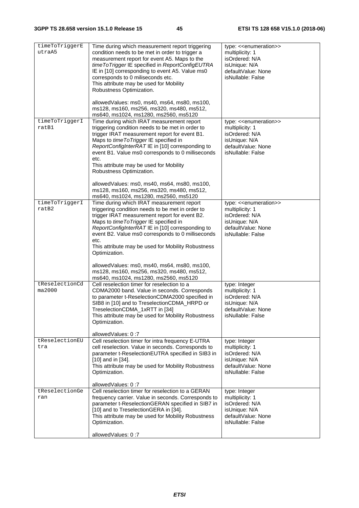| timeToTriggerE<br>utraA5 | Time during which measurement report triggering<br>condition needs to be met in order to trigger a<br>measurement report for event A5. Maps to the<br>time To Trigger IE specified in ReportConfigEUTRA<br>IE in [10] corresponding to event A5. Value ms0<br>corresponds to 0 miliseconds etc.<br>This attribute may be used for Mobility<br>Robustness Optimization.            | type: << enumeration>><br>multiplicity: 1<br>isOrdered: N/A<br>isUnique: N/A<br>defaultValue: None<br>isNullable: False                       |
|--------------------------|-----------------------------------------------------------------------------------------------------------------------------------------------------------------------------------------------------------------------------------------------------------------------------------------------------------------------------------------------------------------------------------|-----------------------------------------------------------------------------------------------------------------------------------------------|
|                          | allowedValues: ms0, ms40, ms64, ms80, ms100,<br>ms128, ms160, ms256, ms320, ms480, ms512,<br>ms640, ms1024, ms1280, ms2560, ms5120                                                                                                                                                                                                                                                |                                                                                                                                               |
| timeToTriggerI<br>ratB1  | Time during which IRAT measurement report<br>triggering condition needs to be met in order to<br>trigger IRAT measurement report for event B1.<br>Maps to time To Trigger IE specified in<br>ReportConfigInterRAT IE in [10] corresponding to<br>event B1. Value ms0 corresponds to 0 milliseconds<br>etc.<br>This attribute may be used for Mobility<br>Robustness Optimization. | type: << enumeration>><br>multiplicity: 1<br>isOrdered: N/A<br>isUnique: N/A<br>defaultValue: None<br>isNullable: False                       |
|                          | allowedValues: ms0, ms40, ms64, ms80, ms100,<br>ms128, ms160, ms256, ms320, ms480, ms512,<br>ms640, ms1024, ms1280, ms2560, ms5120                                                                                                                                                                                                                                                |                                                                                                                                               |
| timeToTriggerI<br>ratB2  | Time during which IRAT measurement report<br>triggering condition needs to be met in order to<br>trigger IRAT measurement report for event B2.<br>Maps to time To Trigger IE specified in<br>ReportConfigInterRATIE in [10] corresponding to<br>event B2. Value ms0 corresponds to 0 milliseconds<br>etc.<br>This attribute may be used for Mobility Robustness<br>Optimization.  | type: < <enumeration>&gt;<br/>multiplicity: 1<br/>isOrdered: N/A<br/>isUnique: N/A<br/>defaultValue: None<br/>isNullable: False</enumeration> |
|                          | allowedValues: ms0, ms40, ms64, ms80, ms100,<br>ms128, ms160, ms256, ms320, ms480, ms512,<br>ms640, ms1024, ms1280, ms2560, ms5120                                                                                                                                                                                                                                                |                                                                                                                                               |
| tReselectionCd<br>ma2000 | Cell reselection timer for reselection to a<br>CDMA2000 band. Value in seconds. Corresponds<br>to parameter t-ReselectionCDMA2000 specified in<br>SIB8 in [10] and to TreselectionCDMA_HRPD or<br>TreselectionCDMA_1xRTT in [34]<br>This attribute may be used for Mobility Robustness<br>Optimization.<br>allowedValues: 0:7                                                     | type: Integer<br>multiplicity: 1<br>isOrdered: N/A<br>isUnique: N/A<br>defaultValue: None<br>isNullable: False                                |
| tReselectionEU<br>tra    | Cell reselection timer for intra frequency E-UTRA<br>cell reselection. Value in seconds. Corresponds to<br>parameter t-ReselectionEUTRA specified in SIB3 in<br>[10] and in [34].<br>This attribute may be used for Mobility Robustness<br>Optimization.                                                                                                                          | type: Integer<br>multiplicity: 1<br>isOrdered: N/A<br>isUnique: N/A<br>defaultValue: None<br>isNullable: False                                |
| tReselectionGe<br>ran    | allowedValues: 0:7<br>Cell reselection timer for reselection to a GERAN<br>frequency carrier. Value in seconds. Corresponds to<br>parameter t-ReselectionGERAN specified in SIB7 in<br>[10] and to TreselectionGERA in [34].<br>This attribute may be used for Mobility Robustness<br>Optimization.<br>allowedValues: 0:7                                                         | type: Integer<br>multiplicity: 1<br>isOrdered: N/A<br>isUnique: N/A<br>defaultValue: None<br>isNullable: False                                |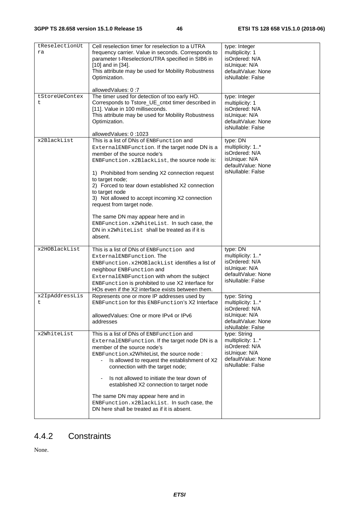| tReselectionUt<br>ra            | Cell reselection timer for reselection to a UTRA<br>frequency carrier. Value in seconds. Corresponds to<br>parameter t-ReselectionUTRA specified in SIB6 in<br>[10] and in [34].<br>This attribute may be used for Mobility Robustness<br>Optimization.                                                                                                                                                                                                                                                       | type: Integer<br>multiplicity: 1<br>isOrdered: N/A<br>isUnique: N/A<br>defaultValue: None<br>isNullable: False             |
|---------------------------------|---------------------------------------------------------------------------------------------------------------------------------------------------------------------------------------------------------------------------------------------------------------------------------------------------------------------------------------------------------------------------------------------------------------------------------------------------------------------------------------------------------------|----------------------------------------------------------------------------------------------------------------------------|
|                                 | allowedValues: 0:7                                                                                                                                                                                                                                                                                                                                                                                                                                                                                            |                                                                                                                            |
| tStoreUeContex<br>t.            | The timer used for detection of too early HO.<br>Corresponds to Tstore_UE_cntxt timer described in<br>[11]. Value in 100 milliseconds.<br>This attribute may be used for Mobility Robustness<br>Optimization.<br>allowedValues: 0:1023                                                                                                                                                                                                                                                                        | type: Integer<br>multiplicity: 1<br>isOrdered: N/A<br>isUnique: N/A<br>defaultValue: None<br>isNullable: False             |
| x2BlackList                     | This is a list of DNs of ENBFunction and                                                                                                                                                                                                                                                                                                                                                                                                                                                                      | type: DN                                                                                                                   |
|                                 | ExternalENBFunction. If the target node DN is a<br>member of the source node's<br>ENBFunction.x2BlackList, the source node is:<br>1) Prohibited from sending X2 connection request<br>to target node;<br>2) Forced to tear down established X2 connection<br>to target node<br>3) Not allowed to accept incoming X2 connection<br>request from target node.<br>The same DN may appear here and in<br>ENBFunction.x2WhiteList. In such case, the<br>DN in x2WhiteList shall be treated as if it is<br>absent.  | multiplicity: 1*<br>isOrdered: N/A<br>isUnique: N/A<br>defaultValue: None<br>isNullable: False                             |
| x2HOBlackList<br>x2IpAddressLis | This is a list of DNs of ENBFunction and<br>ExternalENBFunction. The<br>ENBFunction.x2HOBlackList identifies a list of<br>neighbour ENBFunction and<br>ExternalENBFunction with whom the subject<br>ENBFunction is prohibited to use X2 interface for<br>HOs even if the X2 interface exists between them.<br>Represents one or more IP addresses used by                                                                                                                                                     | type: DN<br>multiplicity: 1*<br>isOrdered: N/A<br>isUnique: N/A<br>defaultValue: None<br>isNullable: False<br>type: String |
| t                               | ENBFunction for this ENBFunction's X2 Interface<br>allowed Values: One or more IPv4 or IPv6<br>addresses                                                                                                                                                                                                                                                                                                                                                                                                      | multiplicity: 1*<br>isOrdered: N/A<br>isUnique: N/A<br>defaultValue: None<br>isNullable: False                             |
| x2WhiteList                     | This is a list of DNs of ENBFunction and<br>ExternalENBFunction. If the target node DN is a<br>member of the source node's<br>ENBFunction.x2WhiteList, the source node:<br>Is allowed to request the establishment of X2<br>connection with the target node;<br>Is not allowed to initiate the tear down of<br>$\blacksquare$<br>established X2 connection to target node<br>The same DN may appear here and in<br>ENBFunction.x2BlackList. In such case, the<br>DN here shall be treated as if it is absent. | type: String<br>multiplicity: 1*<br>isOrdered: N/A<br>isUnique: N/A<br>defaultValue: None<br>isNullable: False             |
|                                 |                                                                                                                                                                                                                                                                                                                                                                                                                                                                                                               |                                                                                                                            |

# 4.4.2 Constraints

None.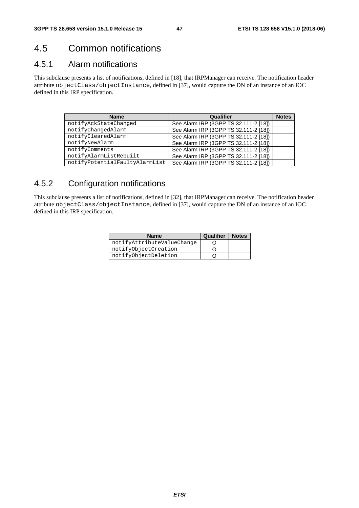# 4.5 Common notifications

# 4.5.1 Alarm notifications

This subclause presents a list of notifications, defined in [18], that IRPManager can receive. The notification header attribute objectClass/objectInstance, defined in [37], would capture the DN of an instance of an IOC defined in this IRP specification.

| <b>Name</b>                    | Qualifier                             | <b>Notes</b> |
|--------------------------------|---------------------------------------|--------------|
| notifyAckStateChanged          | See Alarm IRP (3GPP TS 32.111-2 [18]) |              |
| notifyChangedAlarm             | See Alarm IRP (3GPP TS 32.111-2 [18]) |              |
| notifyClearedAlarm             | See Alarm IRP (3GPP TS 32.111-2 [18]) |              |
| notifyNewAlarm                 | See Alarm IRP (3GPP TS 32.111-2 [18]) |              |
| notifyComments                 | See Alarm IRP (3GPP TS 32.111-2 [18]) |              |
| notifyAlarmListRebuilt         | See Alarm IRP (3GPP TS 32.111-2 [18]) |              |
| notifyPotentialFaultyAlarmList | See Alarm IRP (3GPP TS 32.111-2 [18]) |              |

# 4.5.2 Configuration notifications

This subclause presents a list of notifications, defined in [32], that IRPManager can receive. The notification header attribute objectClass/objectInstance, defined in [37], would capture the DN of an instance of an IOC defined in this IRP specification.

| <b>Name</b>                | <b>Qualifier   Notes</b> |  |
|----------------------------|--------------------------|--|
| notifyAttributeValueChange |                          |  |
| notifyObjectCreation       |                          |  |
| notifyObjectDeletion       |                          |  |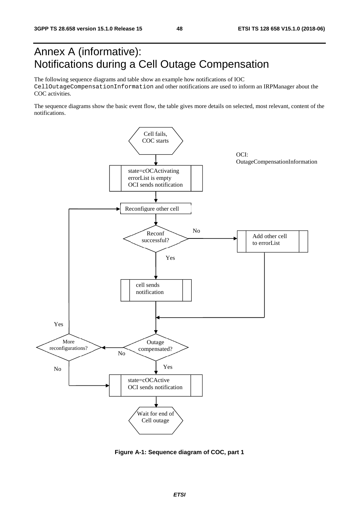# Annex A (informative): Notifications during a Cell Outage Compensation

The following sequence diagrams and table show an example how notifications of IOC CellOutageCompensationInformation and other notifications are used to inform an IRPManager about the COC activities.

The sequence diagrams show the basic event flow, the table gives more details on selected, most relevant, content of the notifications.



**Figure A-1: Sequence diagram of COC, part 1**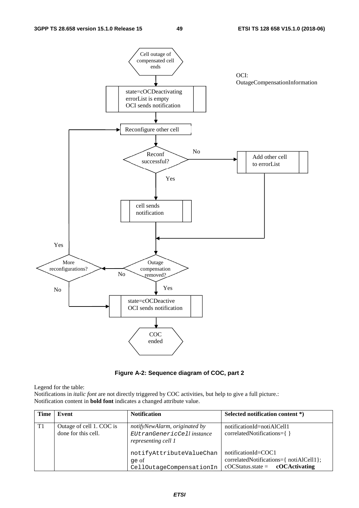

**Figure A-2: Sequence diagram of COC, part 2** 

Legend for the table:

Notifications in *italic font* are not directly triggered by COC activities, but help to give a full picture.: Notification content in **bold font** indicates a changed attribute value.

| <b>Time</b> | Event                                           | <b>Notification</b>                                                                | Selected notification content *)                                                                                            |
|-------------|-------------------------------------------------|------------------------------------------------------------------------------------|-----------------------------------------------------------------------------------------------------------------------------|
| T1          | Outage of cell 1. COC is<br>done for this cell. | notifyNewAlarm, originated by<br>EUtranGenericCell instance<br>representing cell 1 | notificationId=notiAlCell1<br>correlatedNotifications={}                                                                    |
|             |                                                 | notifyAttributeValueChan<br>qe of<br>CellOutageCompensationIn                      | $notificationId = COC1$<br>correlatedNotifications={ notiAlCell1};<br>$\text{cOCStatus}. \text{state} = \text{cOCActivity}$ |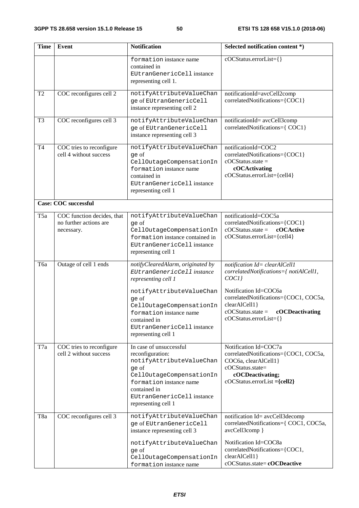| <b>Time</b>     | Event                                                              | <b>Notification</b>                                                                                                                                                                                          | Selected notification content *)                                                                                                                                     |  |  |
|-----------------|--------------------------------------------------------------------|--------------------------------------------------------------------------------------------------------------------------------------------------------------------------------------------------------------|----------------------------------------------------------------------------------------------------------------------------------------------------------------------|--|--|
|                 |                                                                    | formation instance name<br>contained in<br>EUtranGenericCell instance<br>representing cell 1.                                                                                                                | cOCStatus.errorList={}                                                                                                                                               |  |  |
| T <sub>2</sub>  | COC reconfigures cell 2                                            | notifyAttributeValueChan<br>ge of EUtranGenericCell<br>instance representing cell 2                                                                                                                          | notificationId=avcCell2comp<br>correlatedNotifications={COC1}                                                                                                        |  |  |
| T <sub>3</sub>  | COC reconfigures cell 3                                            | notifyAttributeValueChan<br>ge of EUtranGenericCell<br>instance representing cell 3                                                                                                                          | notificationId= avcCell3comp<br>correlatedNotifications={ COC1}                                                                                                      |  |  |
| <b>T4</b>       | COC tries to reconfigure<br>cell 4 without success                 | notifyAttributeValueChan<br>ge of<br>CellOutageCompensationIn<br>formation instance name<br>contained in<br>EUtranGenericCell instance<br>representing cell 1                                                | notificationId=COC2<br>correlatedNotifications={COC1}<br>$cOCStatus.state =$<br>cOCActivating<br>cOCStatus.errorList={cell4}                                         |  |  |
|                 | Case: COC successful                                               |                                                                                                                                                                                                              |                                                                                                                                                                      |  |  |
| T <sub>5a</sub> | COC function decides, that<br>no further actions are<br>necessary. | notifyAttributeValueChan<br>ge of<br>CellOutageCompensationIn<br>formation instance contained in<br>EUtranGenericCell instance<br>representing cell 1                                                        | notificationId=COC5a<br>correlatedNotifications={COC1}<br>$\text{cOC}$ Status.state =<br>cOCActive<br>cOCStatus.errorList={cell4}                                    |  |  |
| Тба             | Outage of cell 1 ends                                              | notifyClearedAlarm, originated by<br>EUtranGenericCell instance<br>representing cell 1                                                                                                                       | notification Id= clearAlCell1<br>correlatedNotifications={ notiAlCell1,<br>COCI                                                                                      |  |  |
|                 |                                                                    | notifyAttributeValueChan<br>ge of<br>CellOutageCompensationIn<br>formation instance name<br>contained in<br>EUtranGenericCell instance<br>representing cell 1                                                | Notification Id=COC6a<br>correlatedNotifications={COC1, COC5a,<br>clearAlCell1}<br>$\text{cOCStatus}. \text{state} = \text{cOCDeactivity}$<br>cOCStatus.errorList={} |  |  |
| T7a             | COC tries to reconfigure<br>cell 2 without success                 | In case of unsuccessful<br>reconfiguration:<br>notifyAttributeValueChan<br>ge of<br>CellOutageCompensationIn<br>formation instance name<br>contained in<br>EUtranGenericCell instance<br>representing cell 1 | Notification Id=COC7a<br>correlatedNotifications={COC1, COC5a,<br>COC6a, clearAlCell1}<br>cOCStatus.state=<br>cOCDeactivating;<br>$cOCStatus. errorList = {cell2}$   |  |  |
| T <sub>8a</sub> | COC reconfigures cell 3                                            | notifyAttributeValueChan<br>ge of EUtranGenericCell<br>instance representing cell 3                                                                                                                          | notification Id= avcCell3decomp<br>correlatedNotifications={ COC1, COC5a,<br>avcCell3comp }                                                                          |  |  |
|                 |                                                                    | notifyAttributeValueChan<br>ge of<br>CellOutageCompensationIn<br>formation instance name                                                                                                                     | Notification Id=COC8a<br>correlatedNotifications={COC1,<br>clearAlCell1}<br>cOCStatus.state=cOCDeactive                                                              |  |  |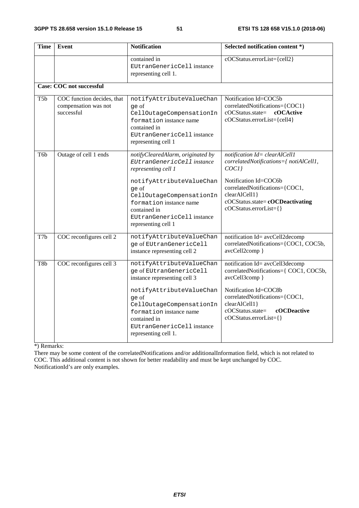| <b>Time</b>      | Event                                                            | <b>Notification</b>                                                                                                                                                                                                                                     | Selected notification content *)                                                                                                                                                                                                            |  |  |
|------------------|------------------------------------------------------------------|---------------------------------------------------------------------------------------------------------------------------------------------------------------------------------------------------------------------------------------------------------|---------------------------------------------------------------------------------------------------------------------------------------------------------------------------------------------------------------------------------------------|--|--|
|                  |                                                                  | contained in<br>EUtranGenericCell instance<br>representing cell 1.                                                                                                                                                                                      | cOCStatus.errorList={cell2}                                                                                                                                                                                                                 |  |  |
|                  | <b>Case: COC not successful</b>                                  |                                                                                                                                                                                                                                                         |                                                                                                                                                                                                                                             |  |  |
| T <sub>5</sub> b | COC function decides, that<br>compensation was not<br>successful | notifyAttributeValueChan<br>qe of<br>CellOutageCompensationIn<br>formation instance name<br>contained in<br>EUtranGenericCell instance<br>representing cell 1                                                                                           | Notification Id=COC5b<br>correlatedNotifications={COC1}<br>cOCStatus.state=<br>cOCActive<br>cOCStatus.errorList={cell4}                                                                                                                     |  |  |
| T <sub>6</sub> b | Outage of cell 1 ends                                            | notifyClearedAlarm, originated by<br>EUtranGenericCell instance<br>representing cell 1<br>notifyAttributeValueChan<br>qe of<br>CellOutageCompensationIn<br>formation instance name<br>contained in<br>EUtranGenericCell instance<br>representing cell 1 | notification Id= clearAlCell1<br>correlatedNotifications={ notiAlCell1,<br>COCI<br>Notification Id=COC6b<br>correlatedNotifications={COC1,<br>clearAlCell1}<br>cOCStatus.state=cOCDeactivating<br>cOCStatus.errorList={}                    |  |  |
| T7b              | COC reconfigures cell 2                                          | notifyAttributeValueChan<br>ge of EUtranGenericCell<br>instance representing cell 2                                                                                                                                                                     | notification Id= avcCell2decomp<br>correlatedNotifications={COC1, COC5b,<br>avcCell2comp }                                                                                                                                                  |  |  |
| T8b              | COC reconfigures cell 3                                          | notifyAttributeValueChan<br>ge of EUtranGenericCell<br>instance representing cell 3<br>notifyAttributeValueChan<br>ge of<br>CellOutageCompensationIn<br>formation instance name<br>contained in<br>EUtranGenericCell instance<br>representing cell 1.   | notification Id= avcCell3decomp<br>correlatedNotifications={ COC1, COC5b,<br>avcCell3comp }<br>Notification Id=COC8b<br>correlatedNotifications={COC1,<br>clearAlCell1}<br>cOCStatus.state=<br><b>cOCDeactive</b><br>cOCStatus.errorList={} |  |  |

\*) Remarks:

There may be some content of the correlatedNotifications and/or additionalInformation field, which is not related to COC. This additional content is not shown for better readability and must be kept unchanged by COC. NotificationId's are only examples.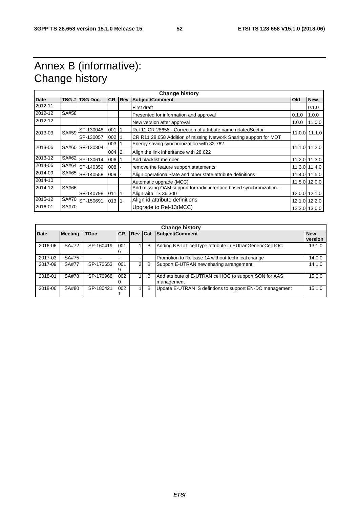# Annex B (informative): Change history

| <b>Date</b> |       | TSG # TSG Doc.  | <b>CR</b> | <b>Rev</b> | Subject/Comment<br>Old                                                                      |                                           | <b>New</b>    |  |
|-------------|-------|-----------------|-----------|------------|---------------------------------------------------------------------------------------------|-------------------------------------------|---------------|--|
| 2012-11     |       |                 |           |            | First draft                                                                                 |                                           | 0.1.0         |  |
| 2012-12     | SA#58 |                 |           |            | Presented for information and approval                                                      | 0.1.0                                     | 1.0.0         |  |
| 2012-12     |       |                 |           |            | New version after approval                                                                  | 1.0.0                                     | 11.0.0        |  |
|             | SA#59 | SP-130048       | 001       |            | Rel 11 CR 28658 - Correction of attribute name related Sector                               |                                           |               |  |
| 2013-03     |       | SP-130057       | $002$ 1   |            | CR R11 28.658 Addition of missing Network Sharing support for MDT                           |                                           | 11.0.0 11.1.0 |  |
| 2013-06     |       | SA#60 SP-130304 |           | $003$   1  |                                                                                             | Energy saving synchronization with 32.762 |               |  |
|             |       |                 | $004$   2 |            | Align the link inheritance with 28.622                                                      | 11.1.0 11.2.0                             |               |  |
| 2013-12     | SA#62 | SP-130614       | 006 1     |            | Add blacklist member                                                                        |                                           | 11.2.0 11.3.0 |  |
| 2014-06     |       | SA#64 SP-140359 | 008       |            | remove the feature support statements                                                       |                                           | 11.3.0 11.4.0 |  |
| 2014-09     |       | SA#65 SP-140558 | $009 -$   |            | Align operationalState and other state attribute definitions                                |                                           | 11.4.0 11.5.0 |  |
| 2014-10     |       |                 |           |            | Automatic upgrade (MCC)                                                                     |                                           | 11.5.0 12.0.0 |  |
| 2014-12     | SA#66 | SP-140798       | 01111     |            | Add missing OAM support for radio interface based synchronization -<br>Align with TS 36.300 |                                           | 12.0.0 12.1.0 |  |
| 2015-12     | SA#70 | SP-150691       | 01311     |            | Align id attribute definitions                                                              |                                           | 12.1.0 12.2.0 |  |
| 2016-01     | SA#70 |                 |           |            | Upgrade to Rel-13(MCC)<br>12.2.0 13.0.0                                                     |                                           |               |  |

|             | <b>Change history</b> |             |           |               |   |                                                                        |                       |
|-------------|-----------------------|-------------|-----------|---------------|---|------------------------------------------------------------------------|-----------------------|
| <b>Date</b> | <b>Meeting</b>        | <b>TDoc</b> | <b>CR</b> | Rev Cat       |   | Subject/Comment                                                        | <b>New</b><br>version |
| 2016-06     | SA#72                 | SP-160419   | 001<br>6  |               | B | Adding NB-IoT cell type attribute in EUtranGenericCell IOC             | 13.1.0                |
| 2017-03     | SA#75                 |             |           |               |   | Promotion to Release 14 without technical change                       | 14.0.0                |
| 2017-09     | SA#77                 | SP-170653   | 001<br>9  | $\mathcal{P}$ | B | Support E-UTRAN new sharing arrangement                                | 14.1.0                |
| 2018-01     | SA#78                 | SP-170968   | 002<br>0  |               | B | Add attribute of E-UTRAN cell IOC to support SON for AAS<br>management | 15.0.0                |
| 2018-06     | SA#80                 | SP-180421   | 002       |               | B | Update E-UTRAN IS defintions to support EN-DC management               | 15.1.0                |